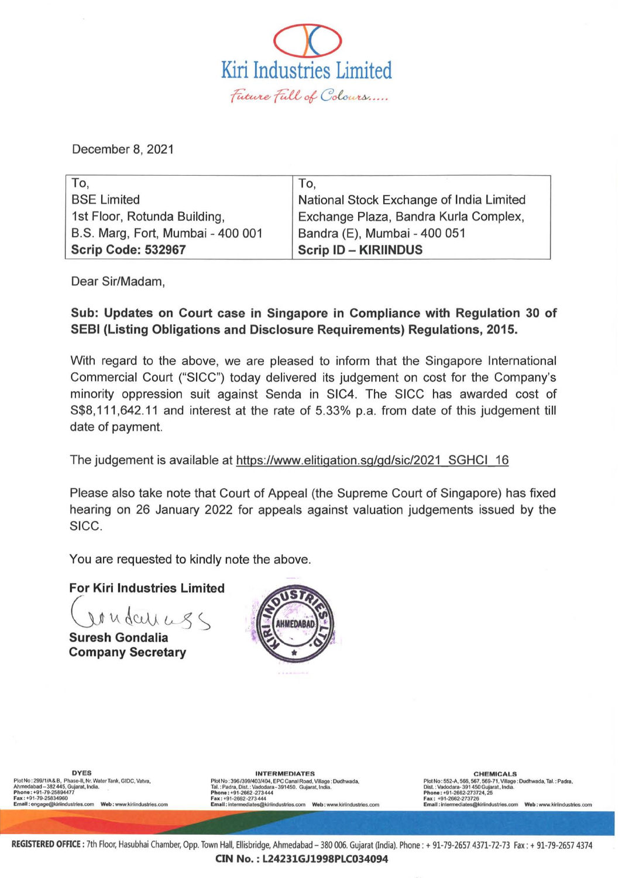

December 8, 2021

| To,                               | To,                                      |
|-----------------------------------|------------------------------------------|
| <b>BSE Limited</b>                | National Stock Exchange of India Limited |
| 1st Floor, Rotunda Building,      | Exchange Plaza, Bandra Kurla Complex,    |
| B.S. Marg, Fort, Mumbai - 400 001 | Bandra (E), Mumbai - 400 051             |
| Scrip Code: 532967                | <b>Scrip ID - KIRIINDUS</b>              |

Dear Sir/Madam,

## Sub: Updates on Court case in Singapore in Compliance with Regulation 30 of SEBI (Listing Obligations and Disclosure Requirements) Regulations, 2015.

With regard to the above, we are pleased to inform that the Singapore International Commercial Court ("SICC") today delivered its judgement on cost for the Company's minority oppression suit against Senda in SIC4. The SICC has awarded cost of S\$8, 111,642.11 and interest at the rate of 5.33% p.a. from date of this judgement till date of payment.

The judgement is available at [https://www.elitigation.sg/gd/sic/2021 SGHCI 16](https://www.elitigation.sg/gd/sic/2021_SGHCI_16) 

Please also take note that Court of Appeal (the Supreme Court of Singapore) has fixed hearing on 26 January 2022 for appeals against valuation judgements issued by the SICC.

You are requested to kindly note the above.

For Kiri Industries Limited

Ut u dcul us

Company Secretary



DYES<br>Plot No: 299/1/A&B, Phase Tal.:Padra, Microsoft, 299/1/A&B, Photo: Superal Read, Village : Dudhwada, PC Canal Road, Village : Dudhwada, Published and Plot No: 552-A, 566, 567-71, Village : Dudhwada, Ahmedabad – 382 4 CHEMICALS<br>
Plot No : 552-A, 568, 567, 569-71, Village : Dudhwada, Tal.: Padra,<br>
Phone : +91-2668-2-273724, 25<br>
Fax : +91-2662-273724, 25<br>
Email : intermediates@kiriindustries.com Web : www.kiriindustries.com<br>
Email : inter

REGISTERED OFFICE : 7th Floor, Hasubhai Chamber, Opp. Town Hall, Ellisbridge, Ahmedabad - 380 006. Gujarat (India). Phone : + 91-79-2657 4371-72-73 Fax: + 91-79-2657 4374 CIN No. : L24231GJ1998PLC034094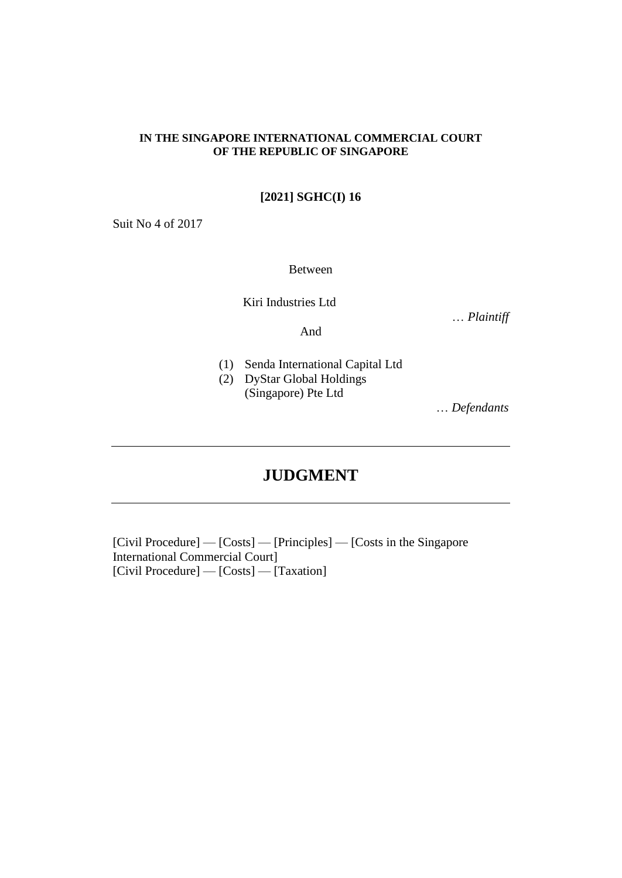### **IN THE SINGAPORE INTERNATIONAL COMMERCIAL COURT OF THE REPUBLIC OF SINGAPORE**

## **[2021] SGHC(I) 16**

Suit No 4 of 2017

Between

Kiri Industries Ltd

… *Plaintiff*

And

- (1) Senda International Capital Ltd
- (2) DyStar Global Holdings

(Singapore) Pte Ltd

… *Defendants*

# **JUDGMENT**

[Civil Procedure] — [Costs] — [Principles] — [Costs in the Singapore International Commercial Court] [Civil Procedure] — [Costs] — [Taxation]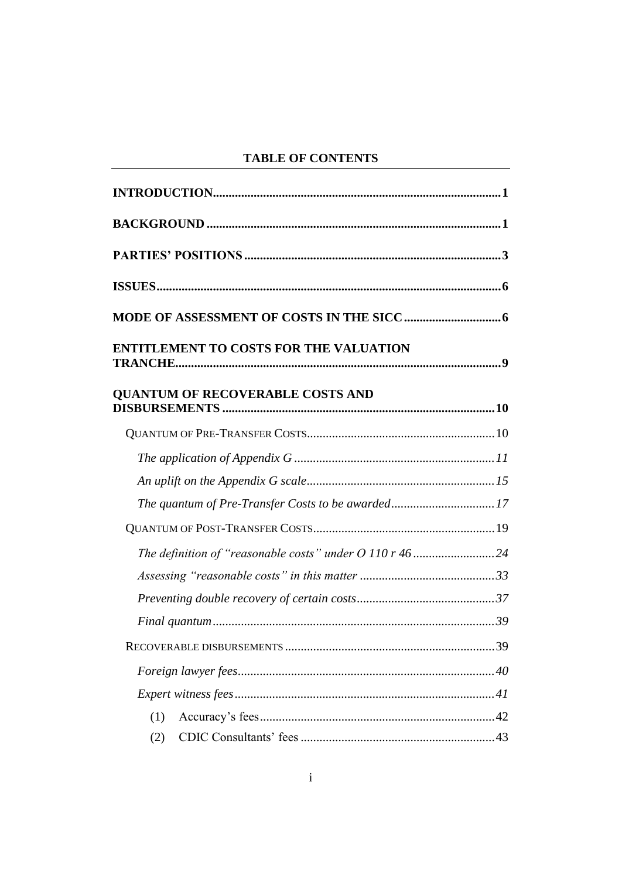# **TABLE OF CONTENTS**

| <b>ENTITLEMENT TO COSTS FOR THE VALUATION</b> |  |  |  |
|-----------------------------------------------|--|--|--|
| <b>QUANTUM OF RECOVERABLE COSTS AND</b>       |  |  |  |
|                                               |  |  |  |
|                                               |  |  |  |
|                                               |  |  |  |
|                                               |  |  |  |
|                                               |  |  |  |
|                                               |  |  |  |
|                                               |  |  |  |
|                                               |  |  |  |
|                                               |  |  |  |
|                                               |  |  |  |
|                                               |  |  |  |
|                                               |  |  |  |
| (1)                                           |  |  |  |
| (2)                                           |  |  |  |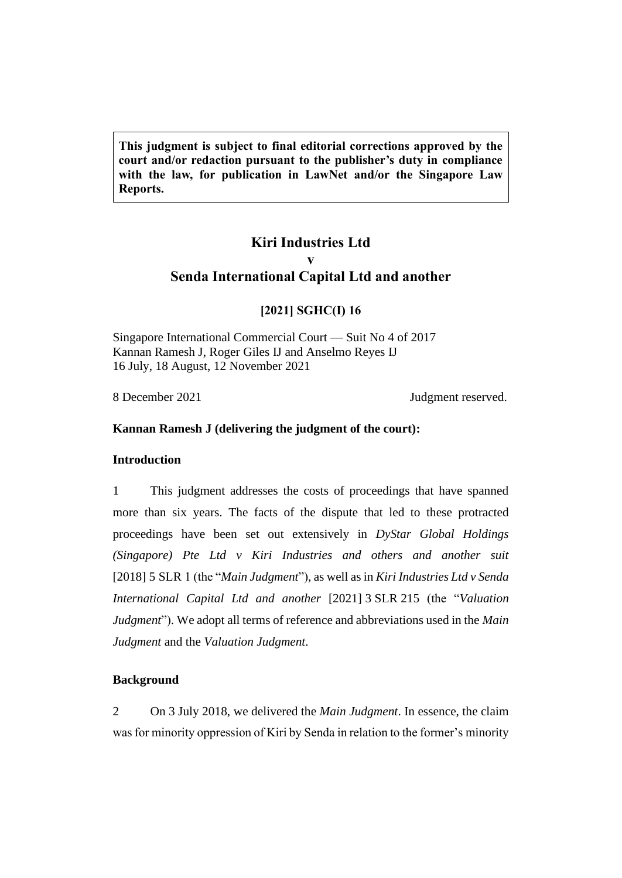**This judgment is subject to final editorial corrections approved by the court and/or redaction pursuant to the publisher's duty in compliance with the law, for publication in LawNet and/or the Singapore Law Reports.**

## **Kiri Industries Ltd v Senda International Capital Ltd and another**

## **[2021] SGHC(I) 16**

Singapore International Commercial Court — Suit No 4 of 2017 Kannan Ramesh J, Roger Giles IJ and Anselmo Reyes IJ 16 July, 18 August, 12 November 2021

8 December 2021 Judgment reserved.

## <span id="page-4-0"></span>**Kannan Ramesh J (delivering the judgment of the court):**

## **Introduction**

1 This judgment addresses the costs of proceedings that have spanned more than six years. The facts of the dispute that led to these protracted proceedings have been set out extensively in *DyStar Global Holdings (Singapore) Pte Ltd v Kiri Industries and others and another suit* [2018] 5 SLR 1 (the "*Main Judgment*"), as well as in *Kiri Industries Ltd v Senda International Capital Ltd and another* [2021] 3 SLR 215 (the "*Valuation Judgment*"). We adopt all terms of reference and abbreviations used in the *Main Judgment* and the *Valuation Judgment*.

## <span id="page-4-1"></span>**Background**

2 On 3 July 2018, we delivered the *Main Judgment*. In essence, the claim was for minority oppression of Kiri by Senda in relation to the former's minority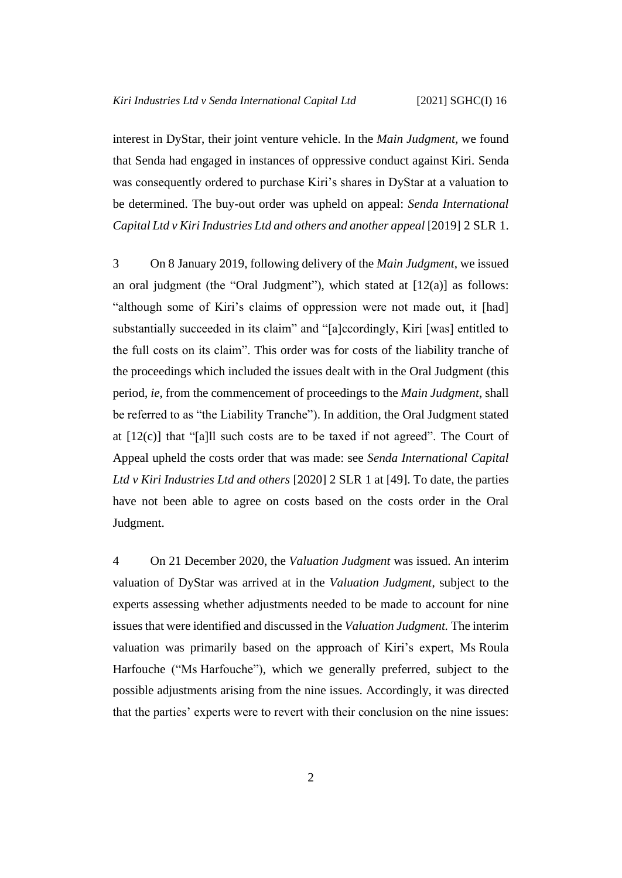interest in DyStar, their joint venture vehicle. In the *Main Judgment,* we found that Senda had engaged in instances of oppressive conduct against Kiri. Senda was consequently ordered to purchase Kiri's shares in DyStar at a valuation to be determined. The buy-out order was upheld on appeal: *Senda International Capital Ltd v Kiri Industries Ltd and others and another appeal* [2019] 2 SLR 1.

<span id="page-5-0"></span>3 On 8 January 2019, following delivery of the *Main Judgment*, we issued an oral judgment (the "Oral Judgment"), which stated at  $[12(a)]$  as follows: "although some of Kiri's claims of oppression were not made out, it [had] substantially succeeded in its claim" and "[a]ccordingly, Kiri [was] entitled to the full costs on its claim". This order was for costs of the liability tranche of the proceedings which included the issues dealt with in the Oral Judgment (this period, *ie*, from the commencement of proceedings to the *Main Judgment*, shall be referred to as "the Liability Tranche"). In addition, the Oral Judgment stated at  $[12(c)]$  that "[a]ll such costs are to be taxed if not agreed". The Court of Appeal upheld the costs order that was made: see *Senda International Capital Ltd v Kiri Industries Ltd and others* [2020] 2 SLR 1 at [49]. To date, the parties have not been able to agree on costs based on the costs order in the Oral Judgment.

4 On 21 December 2020, the *Valuation Judgment* was issued. An interim valuation of DyStar was arrived at in the *Valuation Judgment*, subject to the experts assessing whether adjustments needed to be made to account for nine issues that were identified and discussed in the *Valuation Judgment.* The interim valuation was primarily based on the approach of Kiri's expert, Ms Roula Harfouche ("Ms Harfouche"), which we generally preferred, subject to the possible adjustments arising from the nine issues. Accordingly, it was directed that the parties' experts were to revert with their conclusion on the nine issues: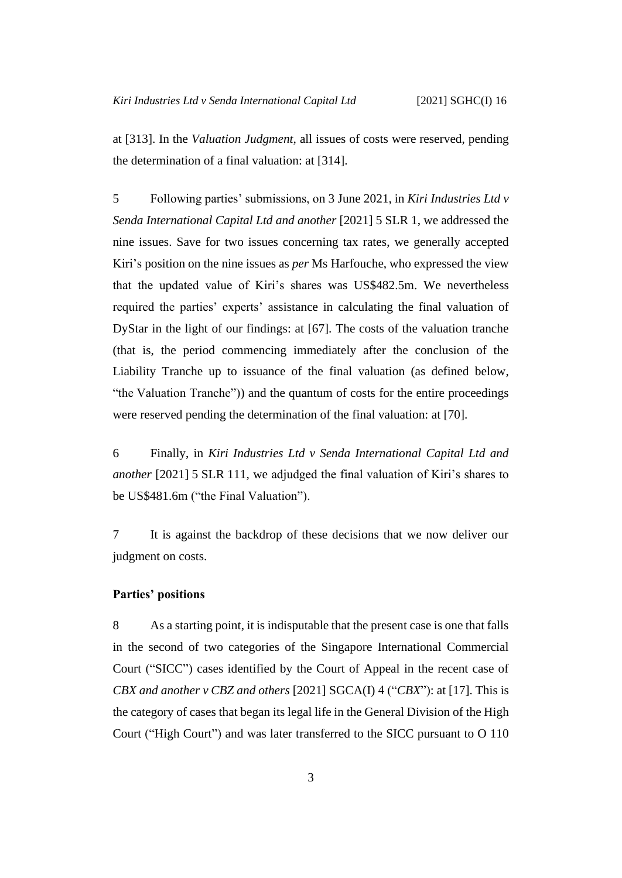at [313]. In the *Valuation Judgment*, all issues of costs were reserved, pending the determination of a final valuation: at [314].

<span id="page-6-1"></span>5 Following parties' submissions, on 3 June 2021, in *Kiri Industries Ltd v Senda International Capital Ltd and another* [2021] 5 SLR 1, we addressed the nine issues. Save for two issues concerning tax rates, we generally accepted Kiri's position on the nine issues as *per* Ms Harfouche, who expressed the view that the updated value of Kiri's shares was US\$482.5m. We nevertheless required the parties' experts' assistance in calculating the final valuation of DyStar in the light of our findings: at [67]. The costs of the valuation tranche (that is, the period commencing immediately after the conclusion of the Liability Tranche up to issuance of the final valuation (as defined below, "the Valuation Tranche")) and the quantum of costs for the entire proceedings were reserved pending the determination of the final valuation: at [70].

6 Finally, in *Kiri Industries Ltd v Senda International Capital Ltd and another* [2021] 5 SLR 111, we adjudged the final valuation of Kiri's shares to be US\$481.6m ("the Final Valuation").

7 It is against the backdrop of these decisions that we now deliver our judgment on costs.

### <span id="page-6-0"></span>**Parties' positions**

8 As a starting point, it is indisputable that the present case is one that falls in the second of two categories of the Singapore International Commercial Court ("SICC") cases identified by the Court of Appeal in the recent case of *CBX and another v CBZ and others* [2021] SGCA(I) 4 ("*CBX*"): at [17]. This is the category of cases that began its legal life in the General Division of the High Court ("High Court") and was later transferred to the SICC pursuant to O 110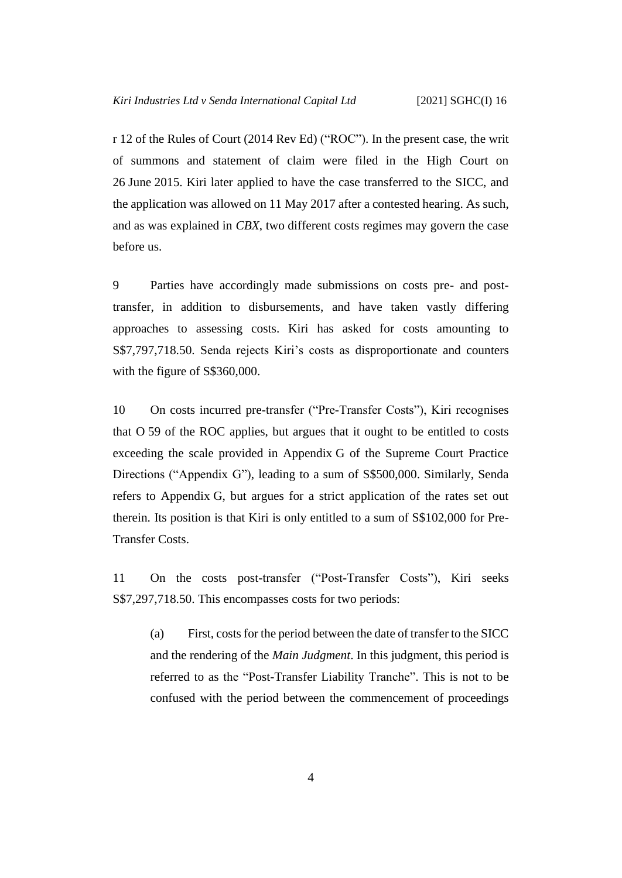r 12 of the Rules of Court (2014 Rev Ed) ("ROC"). In the present case, the writ of summons and statement of claim were filed in the High Court on 26 June 2015. Kiri later applied to have the case transferred to the SICC, and the application was allowed on 11 May 2017 after a contested hearing. As such, and as was explained in *CBX*, two different costs regimes may govern the case before us.

9 Parties have accordingly made submissions on costs pre- and posttransfer, in addition to disbursements, and have taken vastly differing approaches to assessing costs. Kiri has asked for costs amounting to S\$7,797,718.50. Senda rejects Kiri's costs as disproportionate and counters with the figure of S\$360,000.

10 On costs incurred pre-transfer ("Pre-Transfer Costs"), Kiri recognises that O 59 of the ROC applies, but argues that it ought to be entitled to costs exceeding the scale provided in Appendix G of the Supreme Court Practice Directions ("Appendix G"), leading to a sum of S\$500,000. Similarly, Senda refers to Appendix G, but argues for a strict application of the rates set out therein. Its position is that Kiri is only entitled to a sum of S\$102,000 for Pre-Transfer Costs.

11 On the costs post-transfer ("Post-Transfer Costs"), Kiri seeks S\$7,297,718.50. This encompasses costs for two periods:

(a) First, costs for the period between the date of transfer to the SICC and the rendering of the *Main Judgment*. In this judgment, this period is referred to as the "Post-Transfer Liability Tranche". This is not to be confused with the period between the commencement of proceedings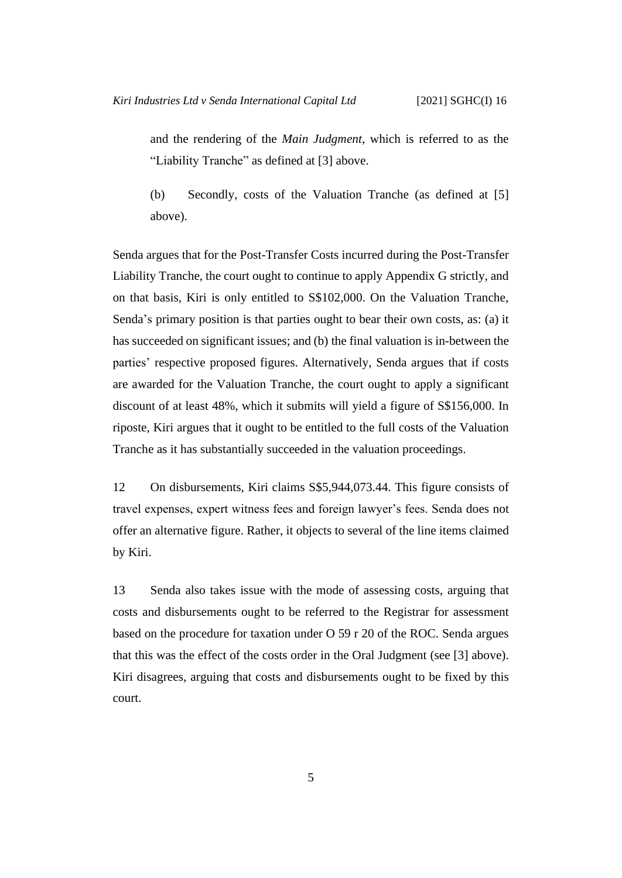and the rendering of the *Main Judgment*, which is referred to as the "Liability Tranche" as defined at [\[3\]](#page-5-0) above.

(b) Secondly, costs of the Valuation Tranche (as defined at [\[5\]](#page-6-1) above).

Senda argues that for the Post-Transfer Costs incurred during the Post-Transfer Liability Tranche, the court ought to continue to apply Appendix G strictly, and on that basis, Kiri is only entitled to S\$102,000. On the Valuation Tranche, Senda's primary position is that parties ought to bear their own costs, as: (a) it has succeeded on significant issues; and (b) the final valuation is in-between the parties' respective proposed figures. Alternatively, Senda argues that if costs are awarded for the Valuation Tranche, the court ought to apply a significant discount of at least 48%, which it submits will yield a figure of S\$156,000. In riposte, Kiri argues that it ought to be entitled to the full costs of the Valuation Tranche as it has substantially succeeded in the valuation proceedings.

12 On disbursements, Kiri claims S\$5,944,073.44. This figure consists of travel expenses, expert witness fees and foreign lawyer's fees. Senda does not offer an alternative figure. Rather, it objects to several of the line items claimed by Kiri.

13 Senda also takes issue with the mode of assessing costs, arguing that costs and disbursements ought to be referred to the Registrar for assessment based on the procedure for taxation under O 59 r 20 of the ROC. Senda argues that this was the effect of the costs order in the Oral Judgment (see [\[3\]](#page-5-0) above). Kiri disagrees, arguing that costs and disbursements ought to be fixed by this court.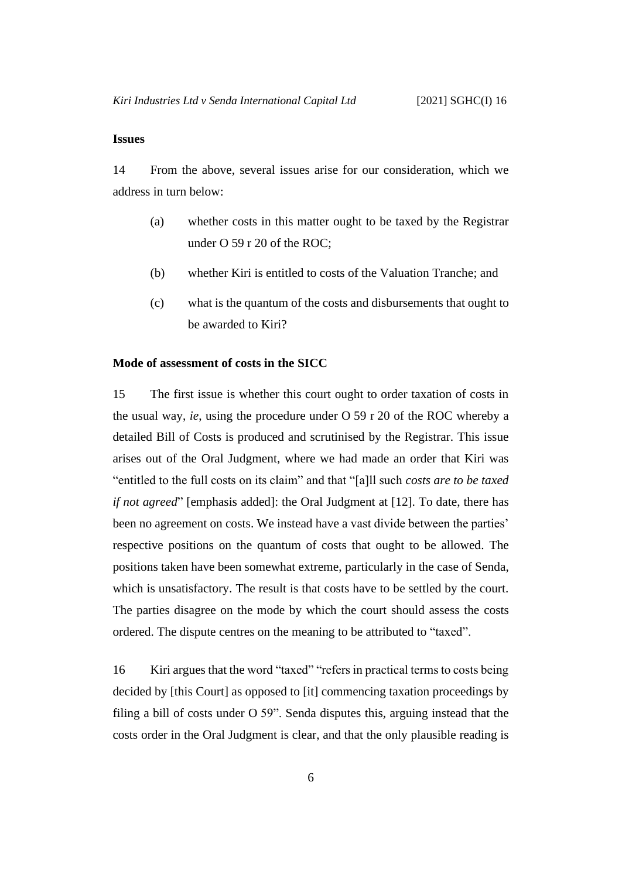### <span id="page-9-0"></span>**Issues**

14 From the above, several issues arise for our consideration, which we address in turn below:

- (a) whether costs in this matter ought to be taxed by the Registrar under O 59 r 20 of the ROC;
- (b) whether Kiri is entitled to costs of the Valuation Tranche; and
- (c) what is the quantum of the costs and disbursements that ought to be awarded to Kiri?

#### <span id="page-9-1"></span>**Mode of assessment of costs in the SICC**

15 The first issue is whether this court ought to order taxation of costs in the usual way, *ie*, using the procedure under O 59 r 20 of the ROC whereby a detailed Bill of Costs is produced and scrutinised by the Registrar. This issue arises out of the Oral Judgment, where we had made an order that Kiri was "entitled to the full costs on its claim" and that "[a]ll such *costs are to be taxed if not agreed*" [emphasis added]: the Oral Judgment at [12]. To date, there has been no agreement on costs. We instead have a vast divide between the parties' respective positions on the quantum of costs that ought to be allowed. The positions taken have been somewhat extreme, particularly in the case of Senda, which is unsatisfactory. The result is that costs have to be settled by the court. The parties disagree on the mode by which the court should assess the costs ordered. The dispute centres on the meaning to be attributed to "taxed".

16 Kiri argues that the word "taxed" "refers in practical terms to costs being decided by [this Court] as opposed to [it] commencing taxation proceedings by filing a bill of costs under O 59". Senda disputes this, arguing instead that the costs order in the Oral Judgment is clear, and that the only plausible reading is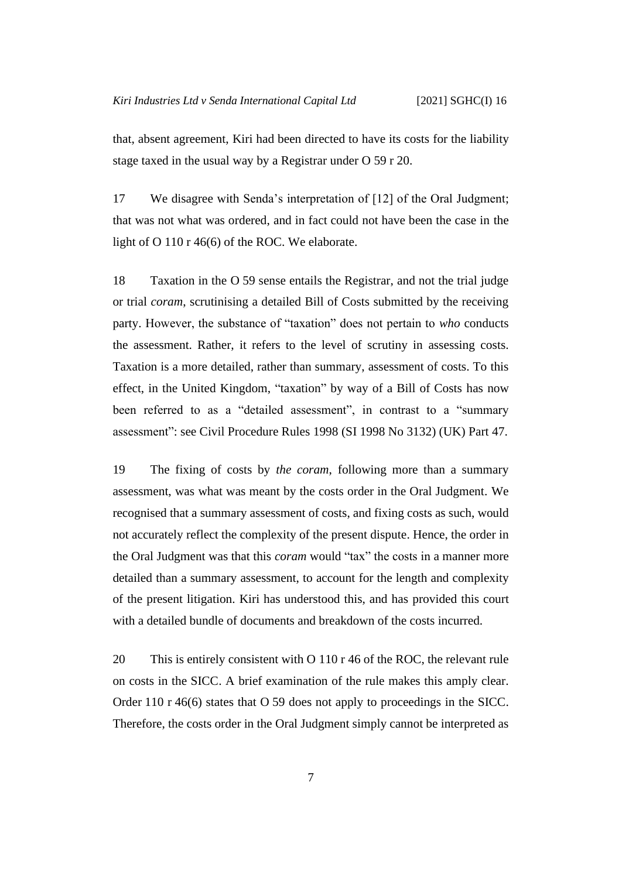that, absent agreement, Kiri had been directed to have its costs for the liability stage taxed in the usual way by a Registrar under O 59 r 20.

17 We disagree with Senda's interpretation of [12] of the Oral Judgment; that was not what was ordered, and in fact could not have been the case in the light of O 110 r 46(6) of the ROC. We elaborate.

18 Taxation in the O 59 sense entails the Registrar, and not the trial judge or trial *coram*, scrutinising a detailed Bill of Costs submitted by the receiving party. However, the substance of "taxation" does not pertain to *who* conducts the assessment. Rather, it refers to the level of scrutiny in assessing costs. Taxation is a more detailed, rather than summary, assessment of costs. To this effect, in the United Kingdom, "taxation" by way of a Bill of Costs has now been referred to as a "detailed assessment", in contrast to a "summary assessment": see Civil Procedure Rules 1998 (SI 1998 No 3132) (UK) Part 47.

19 The fixing of costs by *the coram*, following more than a summary assessment, was what was meant by the costs order in the Oral Judgment. We recognised that a summary assessment of costs, and fixing costs as such, would not accurately reflect the complexity of the present dispute. Hence, the order in the Oral Judgment was that this *coram* would "tax" the costs in a manner more detailed than a summary assessment, to account for the length and complexity of the present litigation. Kiri has understood this, and has provided this court with a detailed bundle of documents and breakdown of the costs incurred.

20 This is entirely consistent with O 110 r 46 of the ROC, the relevant rule on costs in the SICC. A brief examination of the rule makes this amply clear. Order 110 r 46(6) states that O 59 does not apply to proceedings in the SICC. Therefore, the costs order in the Oral Judgment simply cannot be interpreted as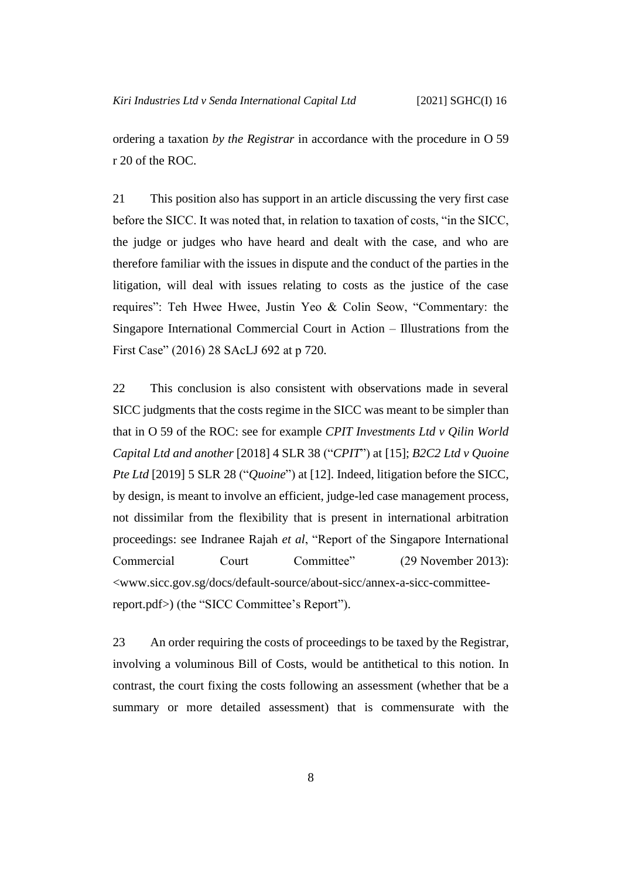ordering a taxation *by the Registrar* in accordance with the procedure in O 59 r 20 of the ROC.

21 This position also has support in an article discussing the very first case before the SICC. It was noted that, in relation to taxation of costs, "in the SICC, the judge or judges who have heard and dealt with the case, and who are therefore familiar with the issues in dispute and the conduct of the parties in the litigation, will deal with issues relating to costs as the justice of the case requires": Teh Hwee Hwee, Justin Yeo & Colin Seow, "Commentary: the Singapore International Commercial Court in Action – Illustrations from the First Case" (2016) 28 SAcLJ 692 at p 720.

22 This conclusion is also consistent with observations made in several SICC judgments that the costs regime in the SICC was meant to be simpler than that in O 59 of the ROC: see for example *CPIT Investments Ltd v Qilin World Capital Ltd and another* [2018] 4 SLR 38 ("*CPIT*") at [15]; *B2C2 Ltd v Quoine Pte Ltd* [2019] 5 SLR 28 ("*Quoine*") at [12]. Indeed, litigation before the SICC, by design, is meant to involve an efficient, judge-led case management process, not dissimilar from the flexibility that is present in international arbitration proceedings: see Indranee Rajah *et al*, "Report of the Singapore International Commercial Court Committee" (29 November 2013): <www.sicc.gov.sg/docs/default-source/about-sicc/annex-a-sicc-committeereport.pdf>) (the "SICC Committee's Report").

23 An order requiring the costs of proceedings to be taxed by the Registrar, involving a voluminous Bill of Costs, would be antithetical to this notion. In contrast, the court fixing the costs following an assessment (whether that be a summary or more detailed assessment) that is commensurate with the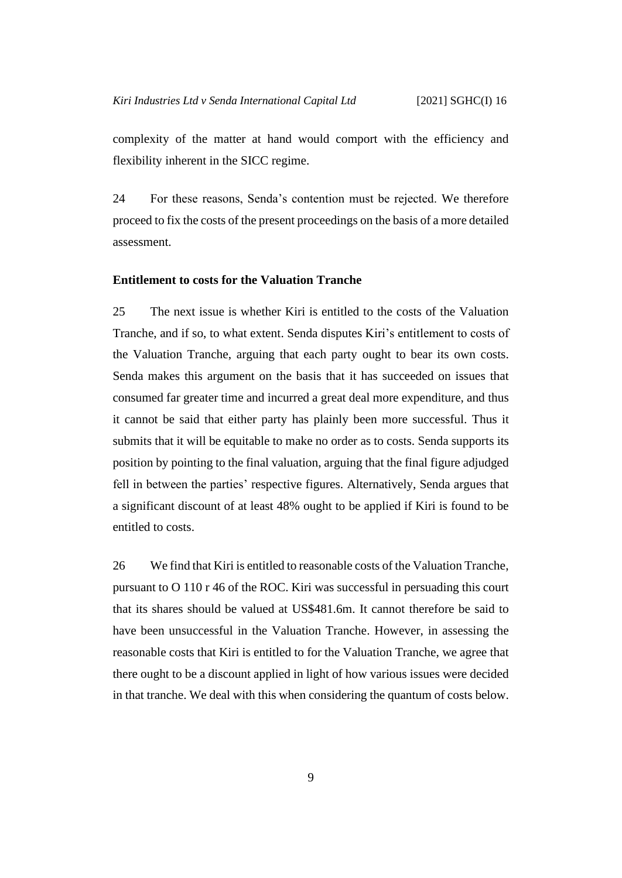complexity of the matter at hand would comport with the efficiency and flexibility inherent in the SICC regime.

24 For these reasons, Senda's contention must be rejected. We therefore proceed to fix the costs of the present proceedings on the basis of a more detailed assessment.

#### <span id="page-12-0"></span>**Entitlement to costs for the Valuation Tranche**

25 The next issue is whether Kiri is entitled to the costs of the Valuation Tranche, and if so, to what extent. Senda disputes Kiri's entitlement to costs of the Valuation Tranche, arguing that each party ought to bear its own costs. Senda makes this argument on the basis that it has succeeded on issues that consumed far greater time and incurred a great deal more expenditure, and thus it cannot be said that either party has plainly been more successful. Thus it submits that it will be equitable to make no order as to costs. Senda supports its position by pointing to the final valuation, arguing that the final figure adjudged fell in between the parties' respective figures. Alternatively, Senda argues that a significant discount of at least 48% ought to be applied if Kiri is found to be entitled to costs.

26 We find that Kiri is entitled to reasonable costs of the Valuation Tranche, pursuant to O 110 r 46 of the ROC. Kiri was successful in persuading this court that its shares should be valued at US\$481.6m. It cannot therefore be said to have been unsuccessful in the Valuation Tranche. However, in assessing the reasonable costs that Kiri is entitled to for the Valuation Tranche, we agree that there ought to be a discount applied in light of how various issues were decided in that tranche. We deal with this when considering the quantum of costs below.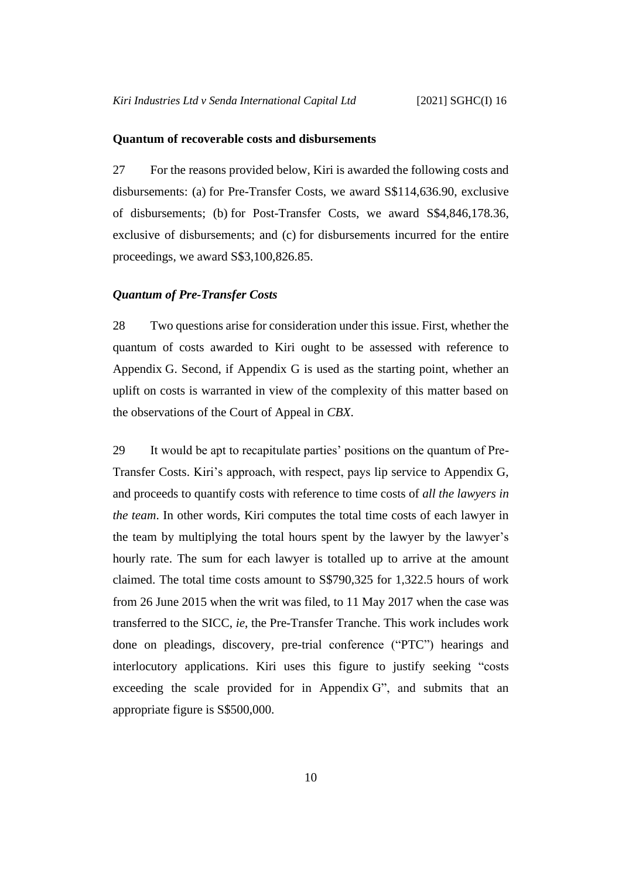#### <span id="page-13-0"></span>**Quantum of recoverable costs and disbursements**

27 For the reasons provided below, Kiri is awarded the following costs and disbursements: (a) for Pre-Transfer Costs, we award S\$114,636.90, exclusive of disbursements; (b) for Post-Transfer Costs, we award S\$4,846,178.36, exclusive of disbursements; and (c) for disbursements incurred for the entire proceedings, we award S\$3,100,826.85.

#### <span id="page-13-1"></span>*Quantum of Pre-Transfer Costs*

28 Two questions arise for consideration under this issue. First, whether the quantum of costs awarded to Kiri ought to be assessed with reference to Appendix G. Second, if Appendix G is used as the starting point, whether an uplift on costs is warranted in view of the complexity of this matter based on the observations of the Court of Appeal in *CBX*.

29 It would be apt to recapitulate parties' positions on the quantum of Pre-Transfer Costs. Kiri's approach, with respect, pays lip service to Appendix G, and proceeds to quantify costs with reference to time costs of *all the lawyers in the team*. In other words, Kiri computes the total time costs of each lawyer in the team by multiplying the total hours spent by the lawyer by the lawyer's hourly rate. The sum for each lawyer is totalled up to arrive at the amount claimed. The total time costs amount to S\$790,325 for 1,322.5 hours of work from 26 June 2015 when the writ was filed, to 11 May 2017 when the case was transferred to the SICC, *ie*, the Pre-Transfer Tranche. This work includes work done on pleadings, discovery, pre-trial conference ("PTC") hearings and interlocutory applications. Kiri uses this figure to justify seeking "costs exceeding the scale provided for in Appendix G", and submits that an appropriate figure is S\$500,000.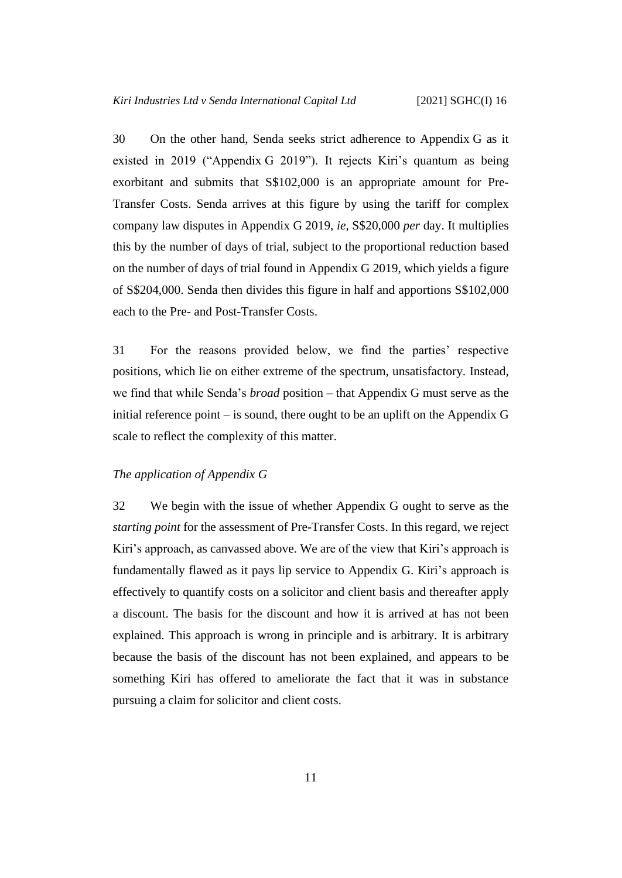30 On the other hand, Senda seeks strict adherence to Appendix G as it existed in 2019 ("Appendix G 2019"). It rejects Kiri's quantum as being exorbitant and submits that S\$102,000 is an appropriate amount for Pre-Transfer Costs. Senda arrives at this figure by using the tariff for complex company law disputes in Appendix G 2019, *ie*, S\$20,000 *per* day. It multiplies this by the number of days of trial, subject to the proportional reduction based on the number of days of trial found in Appendix G 2019, which yields a figure of S\$204,000. Senda then divides this figure in half and apportions S\$102,000 each to the Pre- and Post-Transfer Costs.

31 For the reasons provided below, we find the parties' respective positions, which lie on either extreme of the spectrum, unsatisfactory. Instead, we find that while Senda's *broad* position – that Appendix G must serve as the initial reference point – is sound, there ought to be an uplift on the Appendix G scale to reflect the complexity of this matter.

## <span id="page-14-0"></span>*The application of Appendix G*

32 We begin with the issue of whether Appendix G ought to serve as the *starting point* for the assessment of Pre-Transfer Costs. In this regard, we reject Kiri's approach, as canvassed above. We are of the view that Kiri's approach is fundamentally flawed as it pays lip service to Appendix G. Kiri's approach is effectively to quantify costs on a solicitor and client basis and thereafter apply a discount. The basis for the discount and how it is arrived at has not been explained. This approach is wrong in principle and is arbitrary. It is arbitrary because the basis of the discount has not been explained, and appears to be something Kiri has offered to ameliorate the fact that it was in substance pursuing a claim for solicitor and client costs.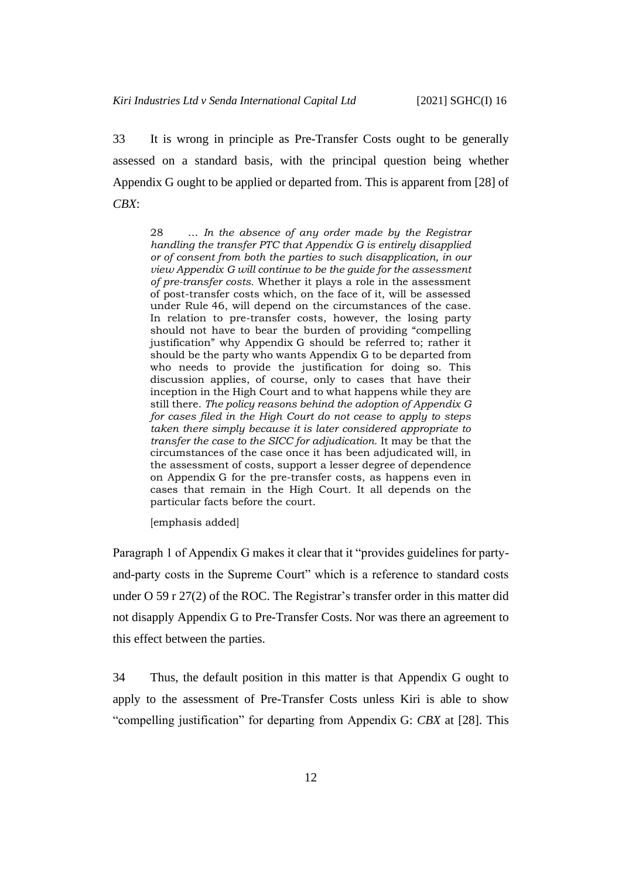<span id="page-15-0"></span>33 It is wrong in principle as Pre-Transfer Costs ought to be generally assessed on a standard basis, with the principal question being whether Appendix G ought to be applied or departed from. This is apparent from [28] of *CBX*:

28 … *In the absence of any order made by the Registrar handling the transfer PTC that Appendix G is entirely disapplied or of consent from both the parties to such disapplication, in our view Appendix G will continue to be the guide for the assessment of pre-transfer costs.* Whether it plays a role in the assessment of post-transfer costs which, on the face of it, will be assessed under Rule 46, will depend on the circumstances of the case. In relation to pre-transfer costs, however, the losing party should not have to bear the burden of providing "compelling justification" why Appendix G should be referred to; rather it should be the party who wants Appendix G to be departed from who needs to provide the justification for doing so. This discussion applies, of course, only to cases that have their inception in the High Court and to what happens while they are still there. *The policy reasons behind the adoption of Appendix G for cases filed in the High Court do not cease to apply to steps taken there simply because it is later considered appropriate to transfer the case to the SICC for adjudication.* It may be that the circumstances of the case once it has been adjudicated will, in the assessment of costs, support a lesser degree of dependence on Appendix G for the pre-transfer costs, as happens even in cases that remain in the High Court. It all depends on the particular facts before the court.

[emphasis added]

Paragraph 1 of Appendix G makes it clear that it "provides guidelines for partyand-party costs in the Supreme Court" which is a reference to standard costs under O 59 r 27(2) of the ROC. The Registrar's transfer order in this matter did not disapply Appendix G to Pre-Transfer Costs. Nor was there an agreement to this effect between the parties.

34 Thus, the default position in this matter is that Appendix G ought to apply to the assessment of Pre-Transfer Costs unless Kiri is able to show "compelling justification" for departing from Appendix G: *CBX* at [28]. This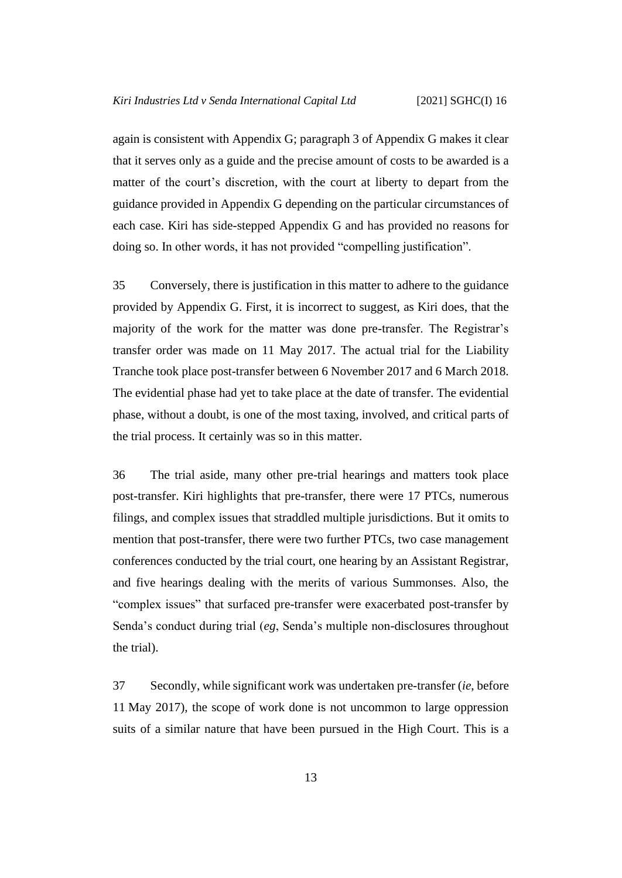again is consistent with Appendix G; paragraph 3 of Appendix G makes it clear that it serves only as a guide and the precise amount of costs to be awarded is a matter of the court's discretion, with the court at liberty to depart from the guidance provided in Appendix G depending on the particular circumstances of each case. Kiri has side-stepped Appendix G and has provided no reasons for doing so. In other words, it has not provided "compelling justification".

35 Conversely, there is justification in this matter to adhere to the guidance provided by Appendix G. First, it is incorrect to suggest, as Kiri does, that the majority of the work for the matter was done pre-transfer. The Registrar's transfer order was made on 11 May 2017. The actual trial for the Liability Tranche took place post-transfer between 6 November 2017 and 6 March 2018. The evidential phase had yet to take place at the date of transfer. The evidential phase, without a doubt, is one of the most taxing, involved, and critical parts of the trial process. It certainly was so in this matter.

36 The trial aside, many other pre-trial hearings and matters took place post-transfer. Kiri highlights that pre-transfer, there were 17 PTCs, numerous filings, and complex issues that straddled multiple jurisdictions. But it omits to mention that post-transfer, there were two further PTCs, two case management conferences conducted by the trial court, one hearing by an Assistant Registrar, and five hearings dealing with the merits of various Summonses. Also, the "complex issues" that surfaced pre-transfer were exacerbated post-transfer by Senda's conduct during trial (*eg*, Senda's multiple non-disclosures throughout the trial).

37 Secondly, while significant work was undertaken pre-transfer (*ie*, before 11 May 2017), the scope of work done is not uncommon to large oppression suits of a similar nature that have been pursued in the High Court. This is a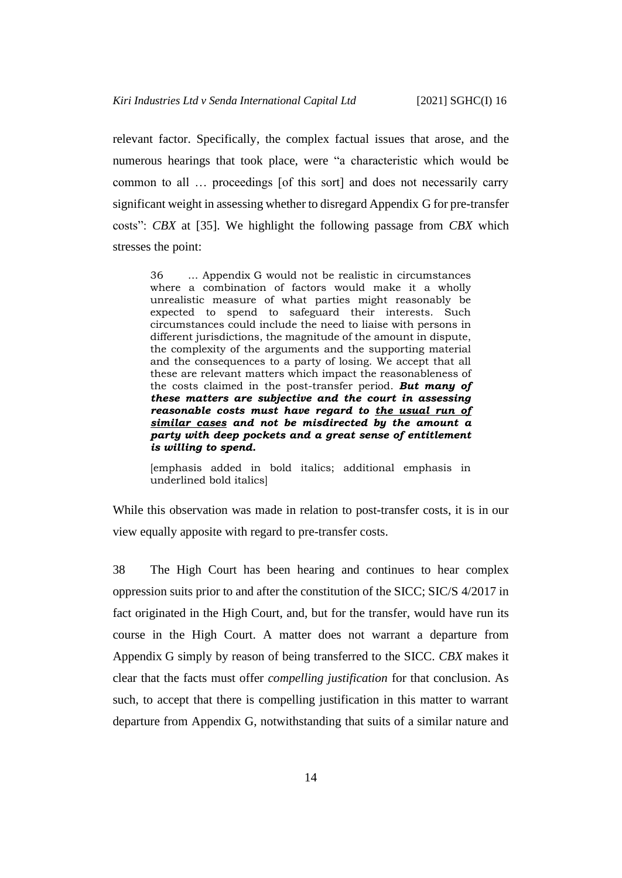relevant factor. Specifically, the complex factual issues that arose, and the numerous hearings that took place, were "a characteristic which would be common to all … proceedings [of this sort] and does not necessarily carry significant weight in assessing whether to disregard Appendix G for pre-transfer costs": *CBX* at [35]. We highlight the following passage from *CBX* which stresses the point:

36 … Appendix G would not be realistic in circumstances where a combination of factors would make it a wholly unrealistic measure of what parties might reasonably be expected to spend to safeguard their interests. Such circumstances could include the need to liaise with persons in different jurisdictions, the magnitude of the amount in dispute, the complexity of the arguments and the supporting material and the consequences to a party of losing. We accept that all these are relevant matters which impact the reasonableness of the costs claimed in the post-transfer period. *But many of these matters are subjective and the court in assessing reasonable costs must have regard to the usual run of similar cases and not be misdirected by the amount a party with deep pockets and a great sense of entitlement is willing to spend.*

[emphasis added in bold italics; additional emphasis in underlined bold italics]

While this observation was made in relation to post-transfer costs, it is in our view equally apposite with regard to pre-transfer costs.

38 The High Court has been hearing and continues to hear complex oppression suits prior to and after the constitution of the SICC; SIC/S 4/2017 in fact originated in the High Court, and, but for the transfer, would have run its course in the High Court. A matter does not warrant a departure from Appendix G simply by reason of being transferred to the SICC. *CBX* makes it clear that the facts must offer *compelling justification* for that conclusion. As such, to accept that there is compelling justification in this matter to warrant departure from Appendix G, notwithstanding that suits of a similar nature and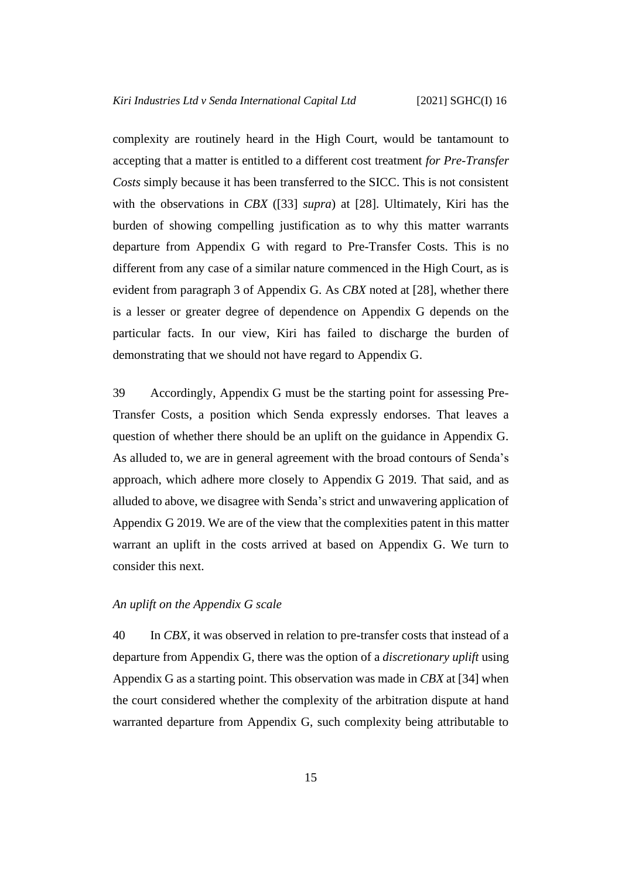complexity are routinely heard in the High Court, would be tantamount to accepting that a matter is entitled to a different cost treatment *for Pre-Transfer Costs* simply because it has been transferred to the SICC. This is not consistent with the observations in *CBX* ([\[33\]](#page-15-0) *supra*) at [28]. Ultimately, Kiri has the burden of showing compelling justification as to why this matter warrants departure from Appendix G with regard to Pre-Transfer Costs. This is no different from any case of a similar nature commenced in the High Court, as is evident from paragraph 3 of Appendix G. As *CBX* noted at [28], whether there is a lesser or greater degree of dependence on Appendix G depends on the particular facts. In our view, Kiri has failed to discharge the burden of demonstrating that we should not have regard to Appendix G.

39 Accordingly, Appendix G must be the starting point for assessing Pre-Transfer Costs, a position which Senda expressly endorses. That leaves a question of whether there should be an uplift on the guidance in Appendix G. As alluded to, we are in general agreement with the broad contours of Senda's approach, which adhere more closely to Appendix G 2019. That said, and as alluded to above, we disagree with Senda's strict and unwavering application of Appendix G 2019. We are of the view that the complexities patent in this matter warrant an uplift in the costs arrived at based on Appendix G. We turn to consider this next.

### <span id="page-18-0"></span>*An uplift on the Appendix G scale*

40 In *CBX,* it was observed in relation to pre-transfer costs that instead of a departure from Appendix G, there was the option of a *discretionary uplift* using Appendix G as a starting point. This observation was made in *CBX* at [34] when the court considered whether the complexity of the arbitration dispute at hand warranted departure from Appendix G, such complexity being attributable to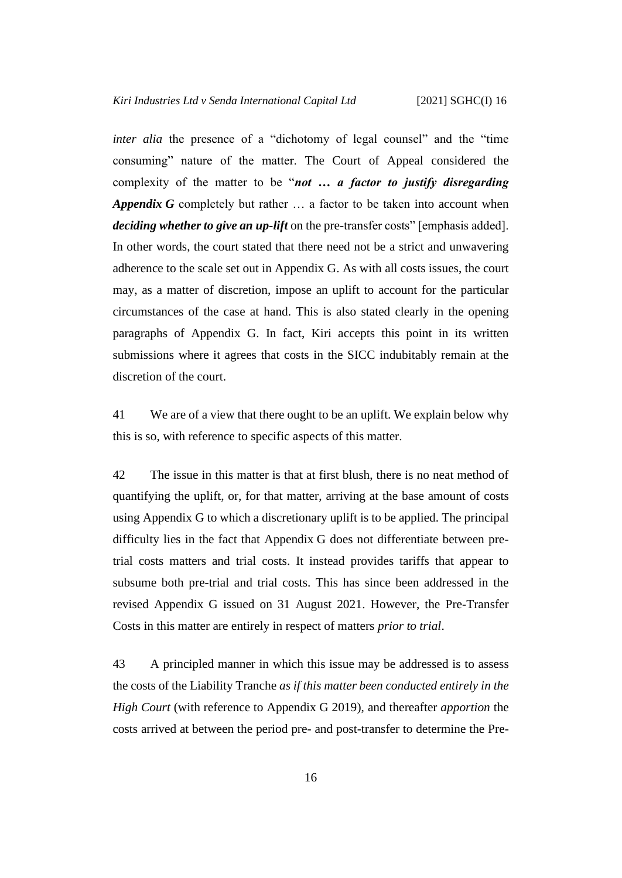*inter alia* the presence of a "dichotomy of legal counsel" and the "time" consuming" nature of the matter. The Court of Appeal considered the complexity of the matter to be "*not … a factor to justify disregarding Appendix G* completely but rather … a factor to be taken into account when *deciding whether to give an up-lift* on the pre-transfer costs" [emphasis added]. In other words, the court stated that there need not be a strict and unwavering adherence to the scale set out in Appendix G. As with all costs issues, the court may, as a matter of discretion, impose an uplift to account for the particular circumstances of the case at hand. This is also stated clearly in the opening paragraphs of Appendix G. In fact, Kiri accepts this point in its written submissions where it agrees that costs in the SICC indubitably remain at the discretion of the court.

41 We are of a view that there ought to be an uplift. We explain below why this is so, with reference to specific aspects of this matter.

42 The issue in this matter is that at first blush, there is no neat method of quantifying the uplift, or, for that matter, arriving at the base amount of costs using Appendix G to which a discretionary uplift is to be applied. The principal difficulty lies in the fact that Appendix G does not differentiate between pretrial costs matters and trial costs. It instead provides tariffs that appear to subsume both pre-trial and trial costs. This has since been addressed in the revised Appendix G issued on 31 August 2021. However, the Pre-Transfer Costs in this matter are entirely in respect of matters *prior to trial*.

43 A principled manner in which this issue may be addressed is to assess the costs of the Liability Tranche *as if this matter been conducted entirely in the High Court* (with reference to Appendix G 2019), and thereafter *apportion* the costs arrived at between the period pre- and post-transfer to determine the Pre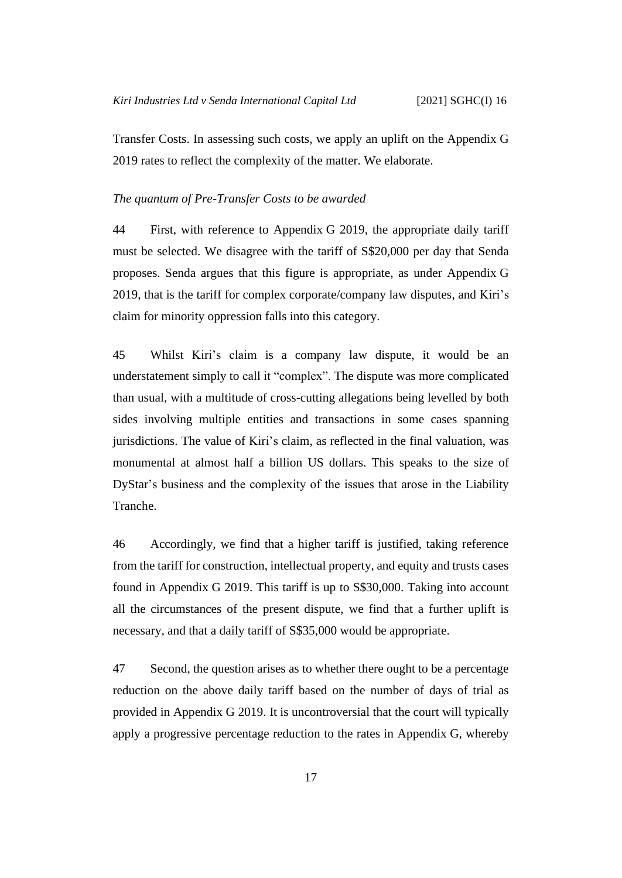Transfer Costs. In assessing such costs, we apply an uplift on the Appendix G 2019 rates to reflect the complexity of the matter. We elaborate.

### <span id="page-20-0"></span>*The quantum of Pre-Transfer Costs to be awarded*

44 First, with reference to Appendix G 2019, the appropriate daily tariff must be selected. We disagree with the tariff of S\$20,000 per day that Senda proposes. Senda argues that this figure is appropriate, as under Appendix G 2019, that is the tariff for complex corporate/company law disputes, and Kiri's claim for minority oppression falls into this category.

<span id="page-20-1"></span>45 Whilst Kiri's claim is a company law dispute, it would be an understatement simply to call it "complex". The dispute was more complicated than usual, with a multitude of cross-cutting allegations being levelled by both sides involving multiple entities and transactions in some cases spanning jurisdictions. The value of Kiri's claim, as reflected in the final valuation, was monumental at almost half a billion US dollars. This speaks to the size of DyStar's business and the complexity of the issues that arose in the Liability Tranche.

46 Accordingly, we find that a higher tariff is justified, taking reference from the tariff for construction, intellectual property, and equity and trusts cases found in Appendix G 2019. This tariff is up to S\$30,000. Taking into account all the circumstances of the present dispute, we find that a further uplift is necessary, and that a daily tariff of S\$35,000 would be appropriate.

47 Second, the question arises as to whether there ought to be a percentage reduction on the above daily tariff based on the number of days of trial as provided in Appendix G 2019. It is uncontroversial that the court will typically apply a progressive percentage reduction to the rates in Appendix G, whereby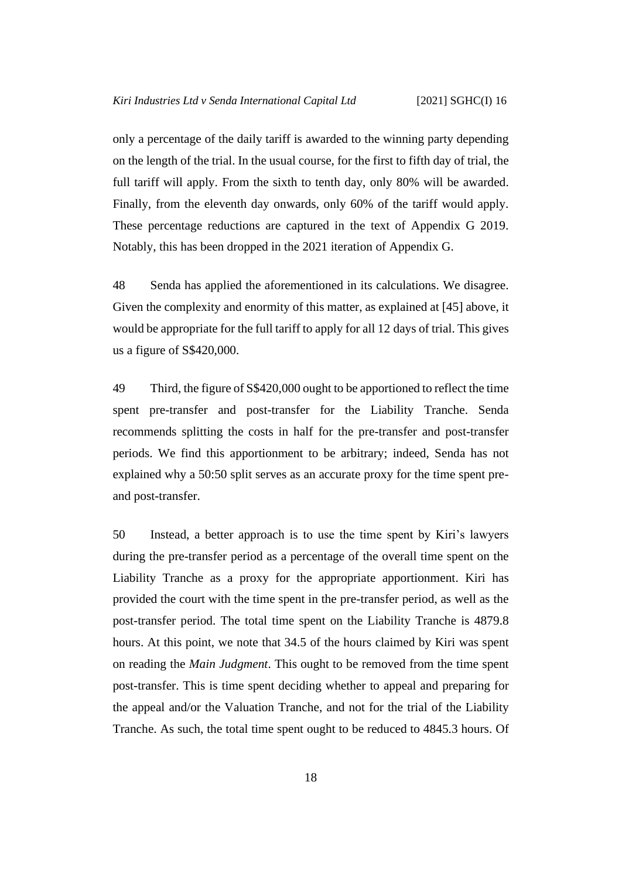only a percentage of the daily tariff is awarded to the winning party depending on the length of the trial. In the usual course, for the first to fifth day of trial, the full tariff will apply. From the sixth to tenth day, only 80% will be awarded. Finally, from the eleventh day onwards, only 60% of the tariff would apply. These percentage reductions are captured in the text of Appendix G 2019. Notably, this has been dropped in the 2021 iteration of Appendix G.

48 Senda has applied the aforementioned in its calculations. We disagree. Given the complexity and enormity of this matter, as explained at [\[45\]](#page-20-1) above, it would be appropriate for the full tariff to apply for all 12 days of trial. This gives us a figure of S\$420,000.

49 Third, the figure of S\$420,000 ought to be apportioned to reflect the time spent pre-transfer and post-transfer for the Liability Tranche. Senda recommends splitting the costs in half for the pre-transfer and post-transfer periods. We find this apportionment to be arbitrary; indeed, Senda has not explained why a 50:50 split serves as an accurate proxy for the time spent preand post-transfer.

50 Instead, a better approach is to use the time spent by Kiri's lawyers during the pre-transfer period as a percentage of the overall time spent on the Liability Tranche as a proxy for the appropriate apportionment. Kiri has provided the court with the time spent in the pre-transfer period, as well as the post-transfer period. The total time spent on the Liability Tranche is 4879.8 hours. At this point, we note that 34.5 of the hours claimed by Kiri was spent on reading the *Main Judgment*. This ought to be removed from the time spent post-transfer. This is time spent deciding whether to appeal and preparing for the appeal and/or the Valuation Tranche, and not for the trial of the Liability Tranche. As such, the total time spent ought to be reduced to 4845.3 hours. Of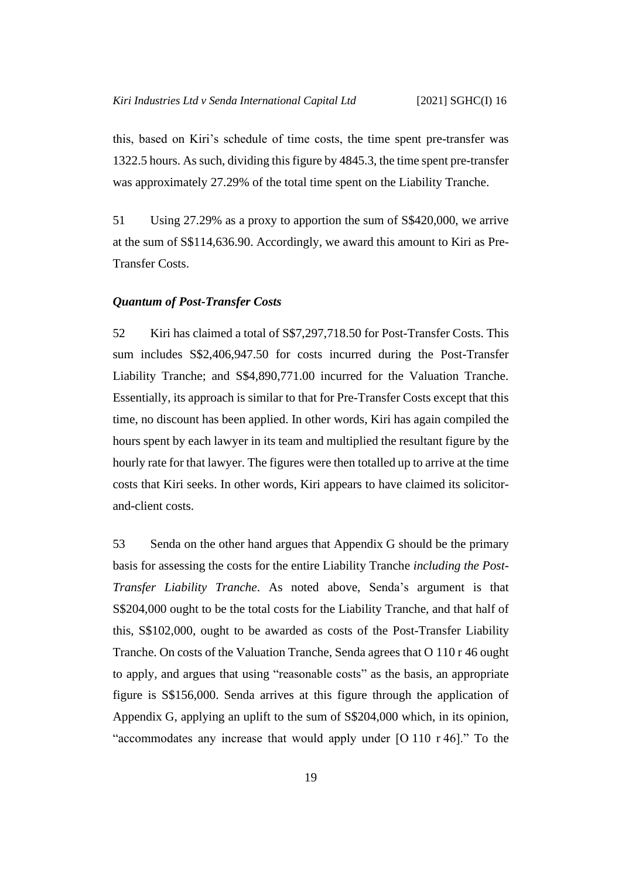this, based on Kiri's schedule of time costs, the time spent pre-transfer was 1322.5 hours. As such, dividing this figure by 4845.3, the time spent pre-transfer was approximately 27.29% of the total time spent on the Liability Tranche.

51 Using 27.29% as a proxy to apportion the sum of S\$420,000, we arrive at the sum of S\$114,636.90. Accordingly, we award this amount to Kiri as Pre-Transfer Costs.

#### <span id="page-22-0"></span>*Quantum of Post-Transfer Costs*

52 Kiri has claimed a total of S\$7,297,718.50 for Post-Transfer Costs. This sum includes S\$2,406,947.50 for costs incurred during the Post-Transfer Liability Tranche; and S\$4,890,771.00 incurred for the Valuation Tranche. Essentially, its approach is similar to that for Pre-Transfer Costs except that this time, no discount has been applied. In other words, Kiri has again compiled the hours spent by each lawyer in its team and multiplied the resultant figure by the hourly rate for that lawyer. The figures were then totalled up to arrive at the time costs that Kiri seeks. In other words, Kiri appears to have claimed its solicitorand-client costs.

53 Senda on the other hand argues that Appendix G should be the primary basis for assessing the costs for the entire Liability Tranche *including the Post-Transfer Liability Tranche*. As noted above, Senda's argument is that S\$204,000 ought to be the total costs for the Liability Tranche, and that half of this, S\$102,000, ought to be awarded as costs of the Post-Transfer Liability Tranche. On costs of the Valuation Tranche, Senda agrees that O 110 r 46 ought to apply, and argues that using "reasonable costs" as the basis, an appropriate figure is S\$156,000. Senda arrives at this figure through the application of Appendix G, applying an uplift to the sum of S\$204,000 which, in its opinion, "accommodates any increase that would apply under [O 110 r 46]." To the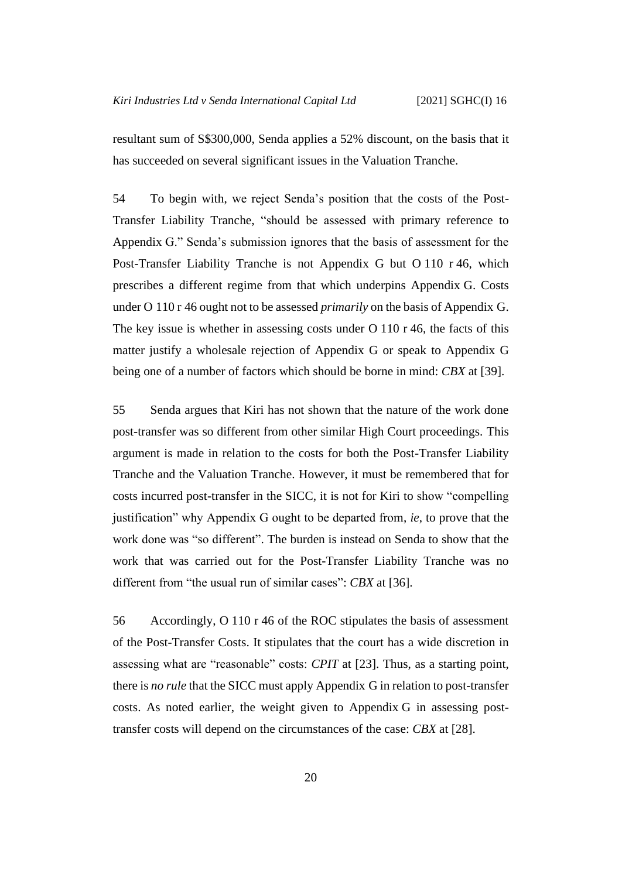resultant sum of S\$300,000, Senda applies a 52% discount, on the basis that it has succeeded on several significant issues in the Valuation Tranche.

54 To begin with, we reject Senda's position that the costs of the Post-Transfer Liability Tranche, "should be assessed with primary reference to Appendix G." Senda's submission ignores that the basis of assessment for the Post-Transfer Liability Tranche is not Appendix G but O 110 r 46, which prescribes a different regime from that which underpins Appendix G. Costs under O 110 r 46 ought not to be assessed *primarily* on the basis of Appendix G. The key issue is whether in assessing costs under O 110 r 46, the facts of this matter justify a wholesale rejection of Appendix G or speak to Appendix G being one of a number of factors which should be borne in mind: *CBX* at [39].

55 Senda argues that Kiri has not shown that the nature of the work done post-transfer was so different from other similar High Court proceedings. This argument is made in relation to the costs for both the Post-Transfer Liability Tranche and the Valuation Tranche. However, it must be remembered that for costs incurred post-transfer in the SICC, it is not for Kiri to show "compelling justification" why Appendix G ought to be departed from, *ie*, to prove that the work done was "so different". The burden is instead on Senda to show that the work that was carried out for the Post-Transfer Liability Tranche was no different from "the usual run of similar cases": *CBX* at [36].

56 Accordingly, O 110 r 46 of the ROC stipulates the basis of assessment of the Post-Transfer Costs. It stipulates that the court has a wide discretion in assessing what are "reasonable" costs: *CPIT* at [23]. Thus, as a starting point, there is *no rule* that the SICC must apply Appendix G in relation to post-transfer costs. As noted earlier, the weight given to Appendix G in assessing posttransfer costs will depend on the circumstances of the case: *CBX* at [28].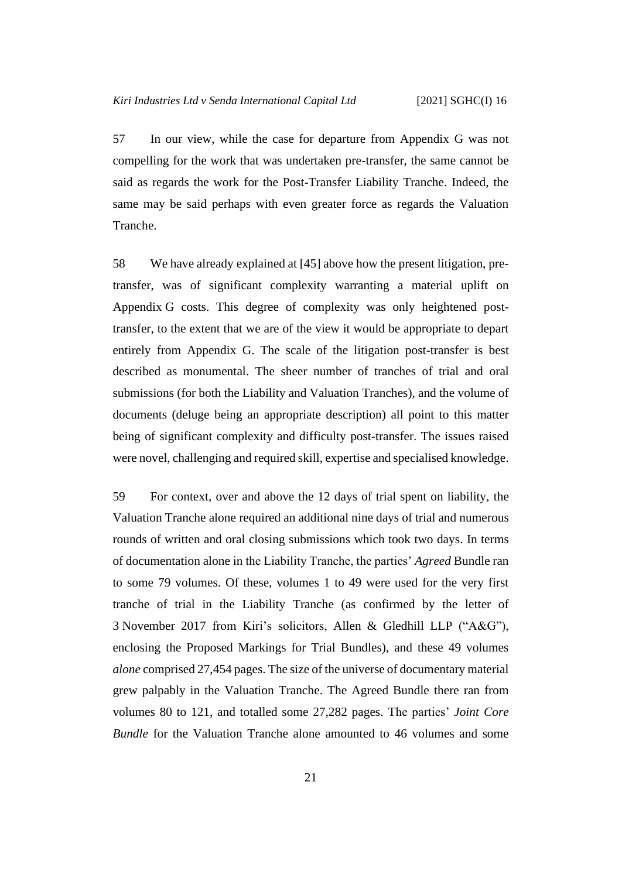57 In our view, while the case for departure from Appendix G was not compelling for the work that was undertaken pre-transfer, the same cannot be said as regards the work for the Post-Transfer Liability Tranche. Indeed, the same may be said perhaps with even greater force as regards the Valuation Tranche.

58 We have already explained at [\[45\]](#page-20-1) above how the present litigation, pretransfer, was of significant complexity warranting a material uplift on Appendix G costs. This degree of complexity was only heightened posttransfer, to the extent that we are of the view it would be appropriate to depart entirely from Appendix G. The scale of the litigation post-transfer is best described as monumental. The sheer number of tranches of trial and oral submissions (for both the Liability and Valuation Tranches), and the volume of documents (deluge being an appropriate description) all point to this matter being of significant complexity and difficulty post-transfer. The issues raised were novel, challenging and required skill, expertise and specialised knowledge.

59 For context, over and above the 12 days of trial spent on liability, the Valuation Tranche alone required an additional nine days of trial and numerous rounds of written and oral closing submissions which took two days. In terms of documentation alone in the Liability Tranche, the parties' *Agreed* Bundle ran to some 79 volumes. Of these, volumes 1 to 49 were used for the very first tranche of trial in the Liability Tranche (as confirmed by the letter of 3 November 2017 from Kiri's solicitors, Allen & Gledhill LLP ("A&G"), enclosing the Proposed Markings for Trial Bundles), and these 49 volumes *alone* comprised 27,454 pages. The size of the universe of documentary material grew palpably in the Valuation Tranche. The Agreed Bundle there ran from volumes 80 to 121, and totalled some 27,282 pages. The parties' *Joint Core Bundle* for the Valuation Tranche alone amounted to 46 volumes and some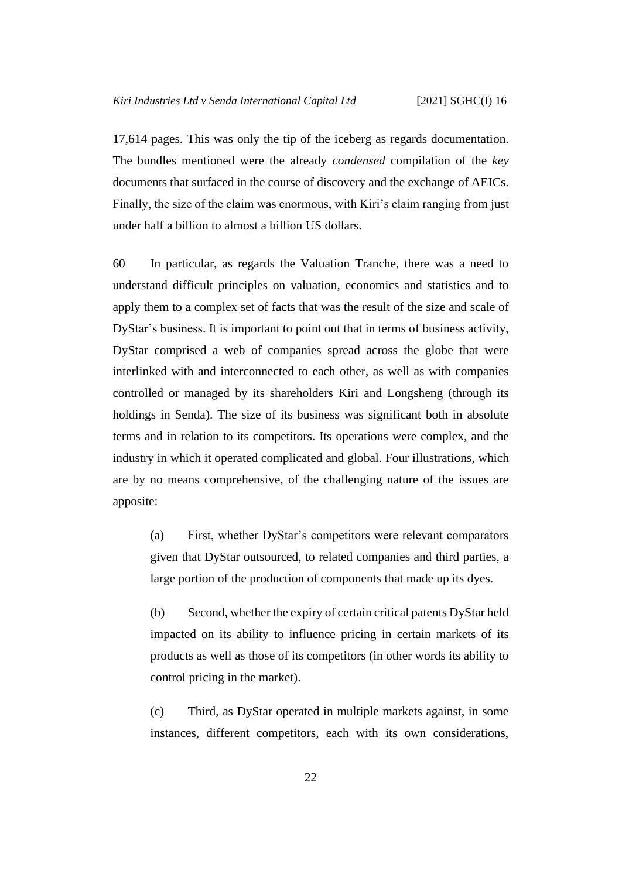17,614 pages. This was only the tip of the iceberg as regards documentation. The bundles mentioned were the already *condensed* compilation of the *key* documents that surfaced in the course of discovery and the exchange of AEICs. Finally, the size of the claim was enormous, with Kiri's claim ranging from just under half a billion to almost a billion US dollars.

60 In particular, as regards the Valuation Tranche, there was a need to understand difficult principles on valuation, economics and statistics and to apply them to a complex set of facts that was the result of the size and scale of DyStar's business. It is important to point out that in terms of business activity, DyStar comprised a web of companies spread across the globe that were interlinked with and interconnected to each other, as well as with companies controlled or managed by its shareholders Kiri and Longsheng (through its holdings in Senda). The size of its business was significant both in absolute terms and in relation to its competitors. Its operations were complex, and the industry in which it operated complicated and global. Four illustrations, which are by no means comprehensive, of the challenging nature of the issues are apposite:

(a) First, whether DyStar's competitors were relevant comparators given that DyStar outsourced, to related companies and third parties, a large portion of the production of components that made up its dyes.

(b) Second, whether the expiry of certain critical patents DyStar held impacted on its ability to influence pricing in certain markets of its products as well as those of its competitors (in other words its ability to control pricing in the market).

(c) Third, as DyStar operated in multiple markets against, in some instances, different competitors, each with its own considerations,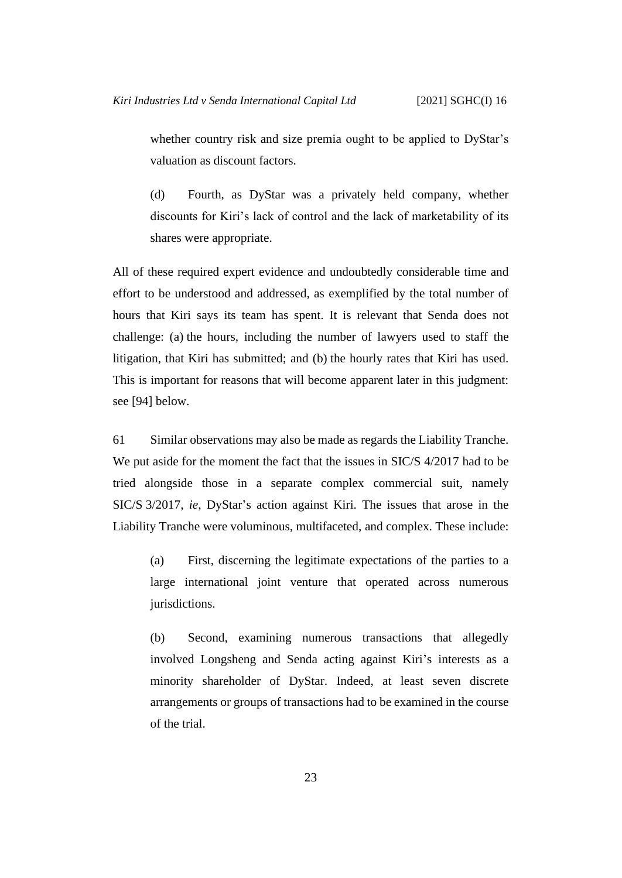whether country risk and size premia ought to be applied to DyStar's valuation as discount factors.

(d) Fourth, as DyStar was a privately held company, whether discounts for Kiri's lack of control and the lack of marketability of its shares were appropriate.

All of these required expert evidence and undoubtedly considerable time and effort to be understood and addressed, as exemplified by the total number of hours that Kiri says its team has spent. It is relevant that Senda does not challenge: (a) the hours, including the number of lawyers used to staff the litigation, that Kiri has submitted; and (b) the hourly rates that Kiri has used. This is important for reasons that will become apparent later in this judgment: see [\[94\]](#page-40-1) below.

61 Similar observations may also be made as regards the Liability Tranche. We put aside for the moment the fact that the issues in SIC/S 4/2017 had to be tried alongside those in a separate complex commercial suit, namely SIC/S 3/2017, *ie*, DyStar's action against Kiri. The issues that arose in the Liability Tranche were voluminous, multifaceted, and complex. These include:

(a) First, discerning the legitimate expectations of the parties to a large international joint venture that operated across numerous jurisdictions.

(b) Second, examining numerous transactions that allegedly involved Longsheng and Senda acting against Kiri's interests as a minority shareholder of DyStar. Indeed, at least seven discrete arrangements or groups of transactions had to be examined in the course of the trial.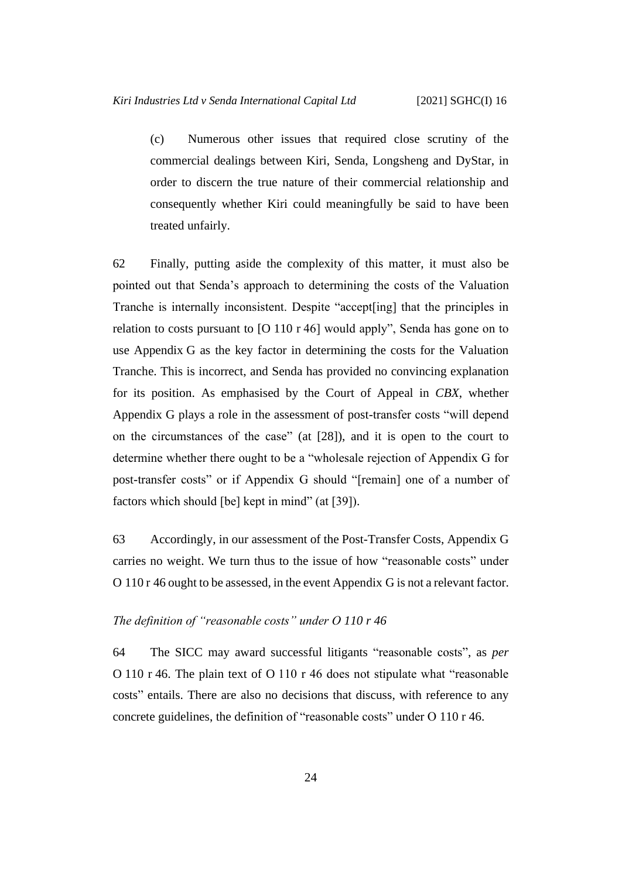(c) Numerous other issues that required close scrutiny of the commercial dealings between Kiri, Senda, Longsheng and DyStar, in order to discern the true nature of their commercial relationship and consequently whether Kiri could meaningfully be said to have been treated unfairly.

62 Finally, putting aside the complexity of this matter, it must also be pointed out that Senda's approach to determining the costs of the Valuation Tranche is internally inconsistent. Despite "accept[ing] that the principles in relation to costs pursuant to [O 110 r 46] would apply", Senda has gone on to use Appendix G as the key factor in determining the costs for the Valuation Tranche. This is incorrect, and Senda has provided no convincing explanation for its position. As emphasised by the Court of Appeal in *CBX*, whether Appendix G plays a role in the assessment of post-transfer costs "will depend on the circumstances of the case" (at [28]), and it is open to the court to determine whether there ought to be a "wholesale rejection of Appendix G for post-transfer costs" or if Appendix G should "[remain] one of a number of factors which should [be] kept in mind" (at [39]).

63 Accordingly, in our assessment of the Post-Transfer Costs, Appendix G carries no weight. We turn thus to the issue of how "reasonable costs" under O 110 r 46 ought to be assessed, in the event Appendix G is not a relevant factor.

## <span id="page-27-0"></span>*The definition of "reasonable costs" under O 110 r 46*

64 The SICC may award successful litigants "reasonable costs", as *per* O 110 r 46. The plain text of O 110 r 46 does not stipulate what "reasonable costs" entails. There are also no decisions that discuss, with reference to any concrete guidelines, the definition of "reasonable costs" under O 110 r 46.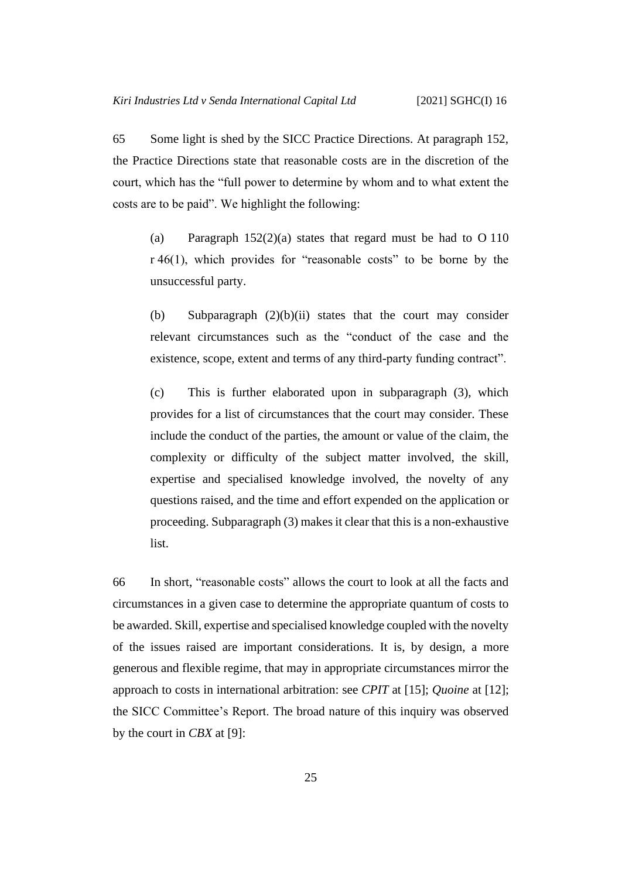65 Some light is shed by the SICC Practice Directions. At paragraph 152, the Practice Directions state that reasonable costs are in the discretion of the court, which has the "full power to determine by whom and to what extent the costs are to be paid". We highlight the following:

(a) Paragraph 152(2)(a) states that regard must be had to O 110 r 46(1), which provides for "reasonable costs" to be borne by the unsuccessful party.

(b) Subparagraph (2)(b)(ii) states that the court may consider relevant circumstances such as the "conduct of the case and the existence, scope, extent and terms of any third-party funding contract".

(c) This is further elaborated upon in subparagraph (3), which provides for a list of circumstances that the court may consider. These include the conduct of the parties, the amount or value of the claim, the complexity or difficulty of the subject matter involved, the skill, expertise and specialised knowledge involved, the novelty of any questions raised, and the time and effort expended on the application or proceeding. Subparagraph (3) makes it clear that this is a non-exhaustive list.

66 In short, "reasonable costs" allows the court to look at all the facts and circumstances in a given case to determine the appropriate quantum of costs to be awarded. Skill, expertise and specialised knowledge coupled with the novelty of the issues raised are important considerations. It is, by design, a more generous and flexible regime, that may in appropriate circumstances mirror the approach to costs in international arbitration: see *CPIT* at [15]; *Quoine* at [12]; the SICC Committee's Report. The broad nature of this inquiry was observed by the court in *CBX* at [9]: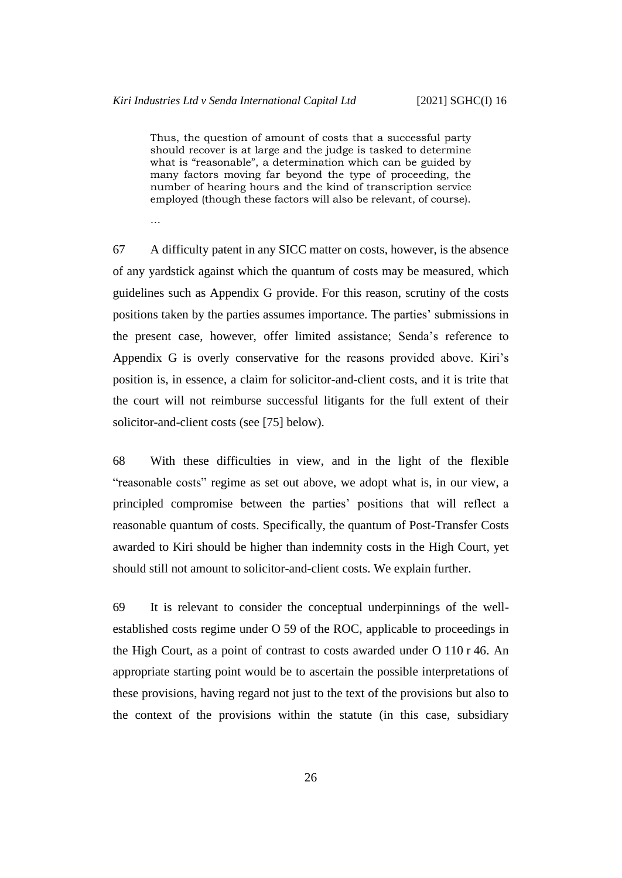Thus, the question of amount of costs that a successful party should recover is at large and the judge is tasked to determine what is "reasonable", a determination which can be guided by many factors moving far beyond the type of proceeding, the number of hearing hours and the kind of transcription service employed (though these factors will also be relevant, of course).

…

67 A difficulty patent in any SICC matter on costs, however, is the absence of any yardstick against which the quantum of costs may be measured, which guidelines such as Appendix G provide. For this reason, scrutiny of the costs positions taken by the parties assumes importance. The parties' submissions in the present case, however, offer limited assistance; Senda's reference to Appendix G is overly conservative for the reasons provided above. Kiri's position is, in essence, a claim for solicitor-and-client costs, and it is trite that the court will not reimburse successful litigants for the full extent of their solicitor-and-client costs (see [\[75\]](#page-32-0) below).

68 With these difficulties in view, and in the light of the flexible "reasonable costs" regime as set out above, we adopt what is, in our view, a principled compromise between the parties' positions that will reflect a reasonable quantum of costs. Specifically, the quantum of Post-Transfer Costs awarded to Kiri should be higher than indemnity costs in the High Court, yet should still not amount to solicitor-and-client costs. We explain further.

69 It is relevant to consider the conceptual underpinnings of the wellestablished costs regime under O 59 of the ROC, applicable to proceedings in the High Court, as a point of contrast to costs awarded under O 110 r 46. An appropriate starting point would be to ascertain the possible interpretations of these provisions, having regard not just to the text of the provisions but also to the context of the provisions within the statute (in this case, subsidiary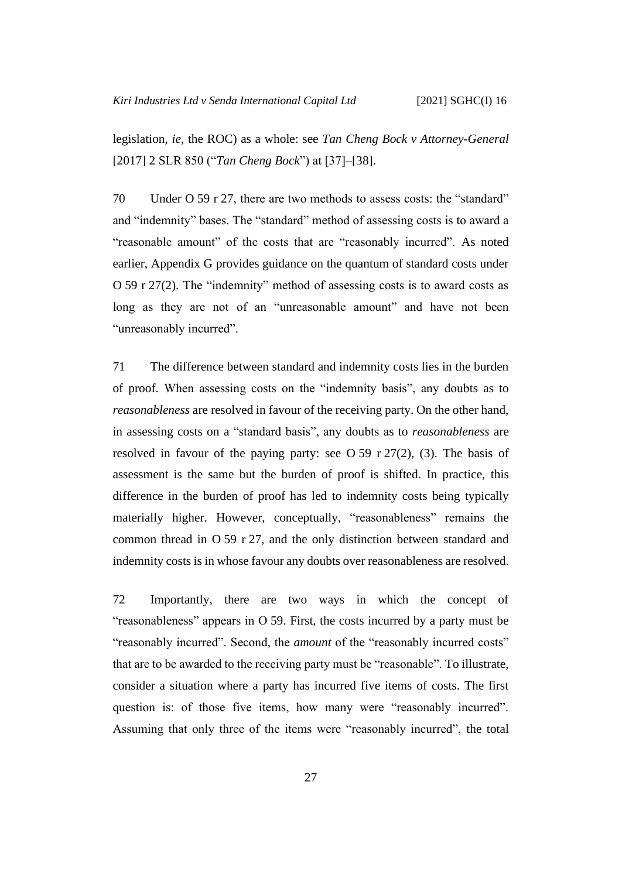legislation, *ie*, the ROC) as a whole: see *Tan Cheng Bock v Attorney-General*  [2017] 2 SLR 850 ("*Tan Cheng Bock*") at [37]–[38].

70 Under O 59 r 27, there are two methods to assess costs: the "standard" and "indemnity" bases. The "standard" method of assessing costs is to award a "reasonable amount" of the costs that are "reasonably incurred". As noted earlier, Appendix G provides guidance on the quantum of standard costs under O 59 r 27(2). The "indemnity" method of assessing costs is to award costs as long as they are not of an "unreasonable amount" and have not been "unreasonably incurred".

71 The difference between standard and indemnity costs lies in the burden of proof. When assessing costs on the "indemnity basis", any doubts as to *reasonableness* are resolved in favour of the receiving party. On the other hand, in assessing costs on a "standard basis", any doubts as to *reasonableness* are resolved in favour of the paying party: see O 59 r  $27(2)$ , (3). The basis of assessment is the same but the burden of proof is shifted. In practice, this difference in the burden of proof has led to indemnity costs being typically materially higher. However, conceptually, "reasonableness" remains the common thread in O 59 r 27, and the only distinction between standard and indemnity costs is in whose favour any doubts over reasonableness are resolved.

72 Importantly, there are two ways in which the concept of "reasonableness" appears in O 59. First, the costs incurred by a party must be "reasonably incurred". Second, the *amount* of the "reasonably incurred costs" that are to be awarded to the receiving party must be "reasonable". To illustrate, consider a situation where a party has incurred five items of costs. The first question is: of those five items, how many were "reasonably incurred". Assuming that only three of the items were "reasonably incurred", the total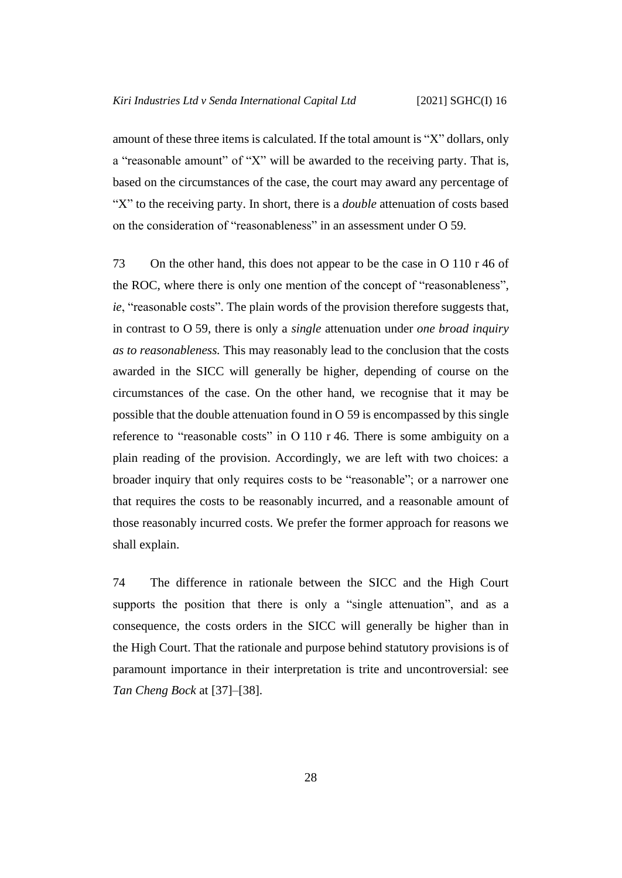amount of these three items is calculated. If the total amount is "X" dollars, only a "reasonable amount" of "X" will be awarded to the receiving party. That is, based on the circumstances of the case, the court may award any percentage of "X" to the receiving party. In short, there is a *double* attenuation of costs based on the consideration of "reasonableness" in an assessment under O 59.

73 On the other hand, this does not appear to be the case in O 110 r 46 of the ROC, where there is only one mention of the concept of "reasonableness", *ie*, "reasonable costs". The plain words of the provision therefore suggests that, in contrast to O 59, there is only a *single* attenuation under *one broad inquiry as to reasonableness.* This may reasonably lead to the conclusion that the costs awarded in the SICC will generally be higher, depending of course on the circumstances of the case. On the other hand, we recognise that it may be possible that the double attenuation found in O 59 is encompassed by this single reference to "reasonable costs" in O 110 r 46. There is some ambiguity on a plain reading of the provision. Accordingly, we are left with two choices: a broader inquiry that only requires costs to be "reasonable"; or a narrower one that requires the costs to be reasonably incurred, and a reasonable amount of those reasonably incurred costs. We prefer the former approach for reasons we shall explain.

74 The difference in rationale between the SICC and the High Court supports the position that there is only a "single attenuation", and as a consequence, the costs orders in the SICC will generally be higher than in the High Court. That the rationale and purpose behind statutory provisions is of paramount importance in their interpretation is trite and uncontroversial: see *Tan Cheng Bock* at [37]–[38].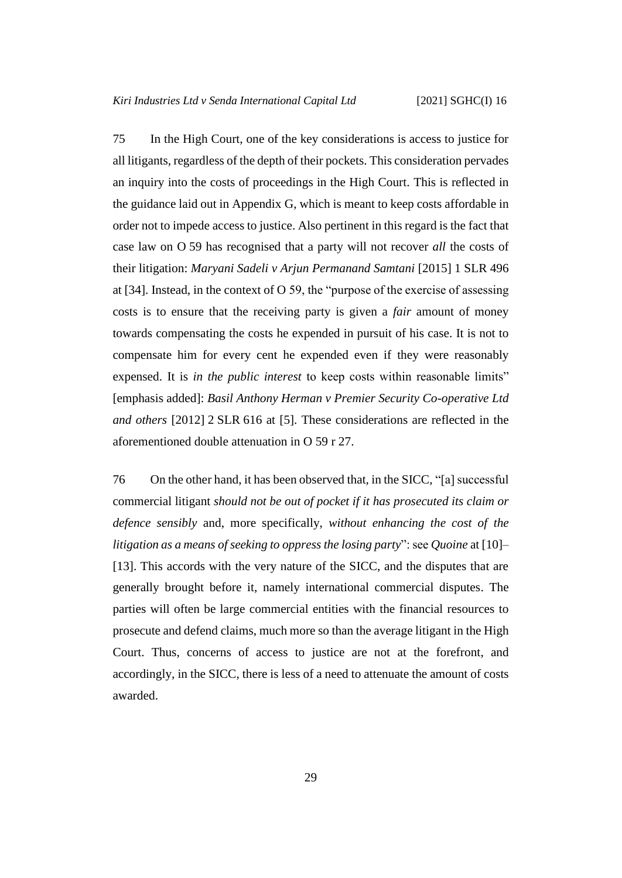<span id="page-32-0"></span>75 In the High Court, one of the key considerations is access to justice for all litigants, regardless of the depth of their pockets. This consideration pervades an inquiry into the costs of proceedings in the High Court. This is reflected in the guidance laid out in Appendix G, which is meant to keep costs affordable in order not to impede access to justice. Also pertinent in this regard is the fact that case law on O 59 has recognised that a party will not recover *all* the costs of their litigation: *Maryani Sadeli v Arjun Permanand Samtani* [2015] 1 SLR 496 at [34]. Instead, in the context of O 59, the "purpose of the exercise of assessing costs is to ensure that the receiving party is given a *fair* amount of money towards compensating the costs he expended in pursuit of his case. It is not to compensate him for every cent he expended even if they were reasonably expensed. It is *in the public interest* to keep costs within reasonable limits" [emphasis added]: *Basil Anthony Herman v Premier Security Co-operative Ltd and others* [2012] 2 SLR 616 at [5]. These considerations are reflected in the aforementioned double attenuation in O 59 r 27.

<span id="page-32-1"></span>76 On the other hand, it has been observed that, in the SICC, "[a] successful commercial litigant *should not be out of pocket if it has prosecuted its claim or defence sensibly* and, more specifically, *without enhancing the cost of the litigation as a means of seeking to oppress the losing party*": see *Quoine* at [10]– [13]. This accords with the very nature of the SICC, and the disputes that are generally brought before it, namely international commercial disputes. The parties will often be large commercial entities with the financial resources to prosecute and defend claims, much more so than the average litigant in the High Court. Thus, concerns of access to justice are not at the forefront, and accordingly, in the SICC, there is less of a need to attenuate the amount of costs awarded.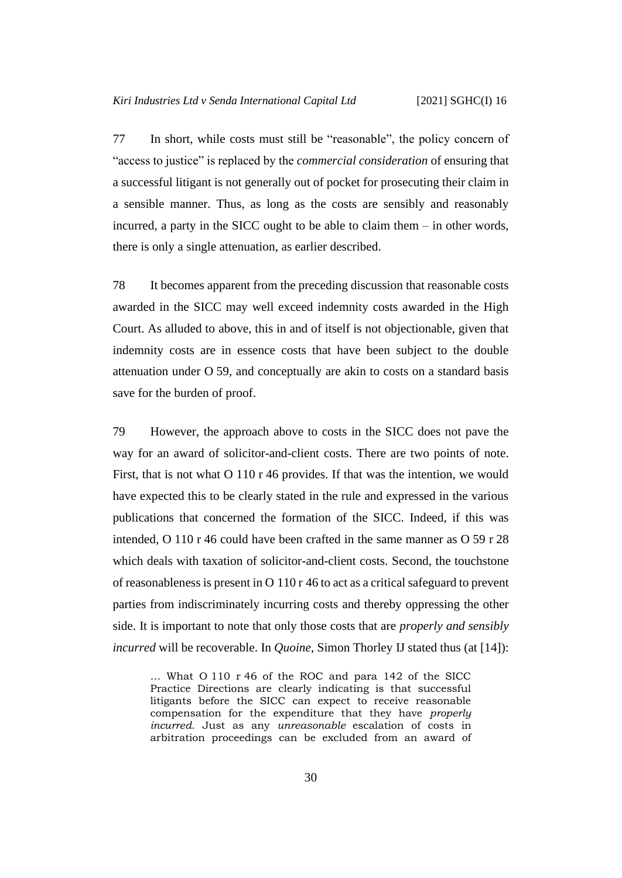<span id="page-33-0"></span>77 In short, while costs must still be "reasonable", the policy concern of "access to justice" is replaced by the *commercial consideration* of ensuring that a successful litigant is not generally out of pocket for prosecuting their claim in a sensible manner. Thus, as long as the costs are sensibly and reasonably incurred, a party in the SICC ought to be able to claim them – in other words, there is only a single attenuation, as earlier described.

78 It becomes apparent from the preceding discussion that reasonable costs awarded in the SICC may well exceed indemnity costs awarded in the High Court. As alluded to above, this in and of itself is not objectionable, given that indemnity costs are in essence costs that have been subject to the double attenuation under O 59, and conceptually are akin to costs on a standard basis save for the burden of proof.

79 However, the approach above to costs in the SICC does not pave the way for an award of solicitor-and-client costs. There are two points of note. First, that is not what O 110 r 46 provides. If that was the intention, we would have expected this to be clearly stated in the rule and expressed in the various publications that concerned the formation of the SICC. Indeed, if this was intended, O 110 r 46 could have been crafted in the same manner as O 59 r 28 which deals with taxation of solicitor-and-client costs. Second, the touchstone of reasonableness is present in O 110 r 46 to act as a critical safeguard to prevent parties from indiscriminately incurring costs and thereby oppressing the other side. It is important to note that only those costs that are *properly and sensibly incurred* will be recoverable. In *Quoine*, Simon Thorley IJ stated thus (at [14]):

… What O 110 r 46 of the ROC and para 142 of the SICC Practice Directions are clearly indicating is that successful litigants before the SICC can expect to receive reasonable compensation for the expenditure that they have *properly incurred*. Just as any *unreasonable* escalation of costs in arbitration proceedings can be excluded from an award of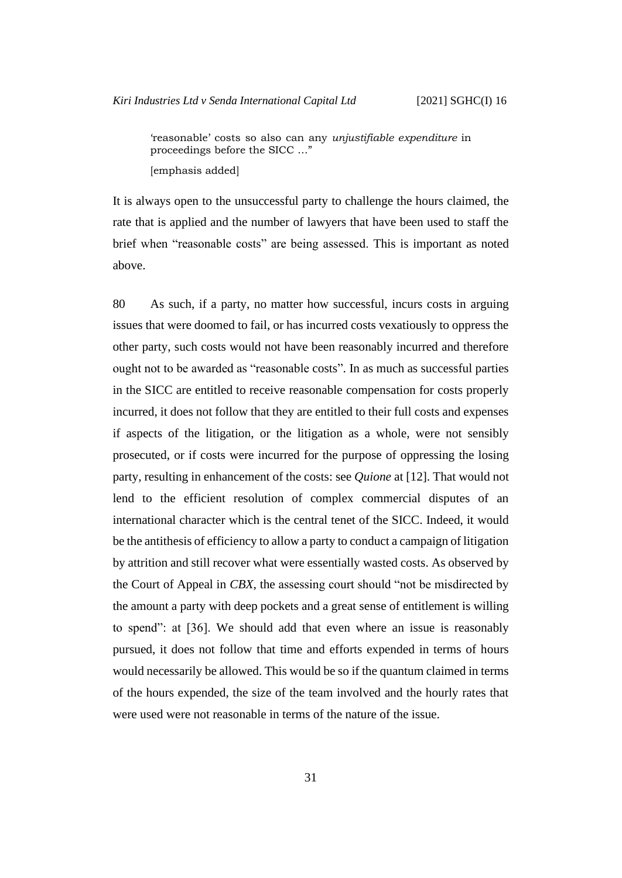'reasonable' costs so also can any *unjustifiable expenditure* in proceedings before the SICC …" [emphasis added]

It is always open to the unsuccessful party to challenge the hours claimed, the rate that is applied and the number of lawyers that have been used to staff the brief when "reasonable costs" are being assessed. This is important as noted above.

80 As such, if a party, no matter how successful, incurs costs in arguing issues that were doomed to fail, or has incurred costs vexatiously to oppress the other party, such costs would not have been reasonably incurred and therefore ought not to be awarded as "reasonable costs". In as much as successful parties in the SICC are entitled to receive reasonable compensation for costs properly incurred, it does not follow that they are entitled to their full costs and expenses if aspects of the litigation, or the litigation as a whole, were not sensibly prosecuted, or if costs were incurred for the purpose of oppressing the losing party, resulting in enhancement of the costs: see *Quione* at [12]. That would not lend to the efficient resolution of complex commercial disputes of an international character which is the central tenet of the SICC. Indeed, it would be the antithesis of efficiency to allow a party to conduct a campaign of litigation by attrition and still recover what were essentially wasted costs. As observed by the Court of Appeal in *CBX*, the assessing court should "not be misdirected by the amount a party with deep pockets and a great sense of entitlement is willing to spend": at [36]. We should add that even where an issue is reasonably pursued, it does not follow that time and efforts expended in terms of hours would necessarily be allowed. This would be so if the quantum claimed in terms of the hours expended, the size of the team involved and the hourly rates that were used were not reasonable in terms of the nature of the issue.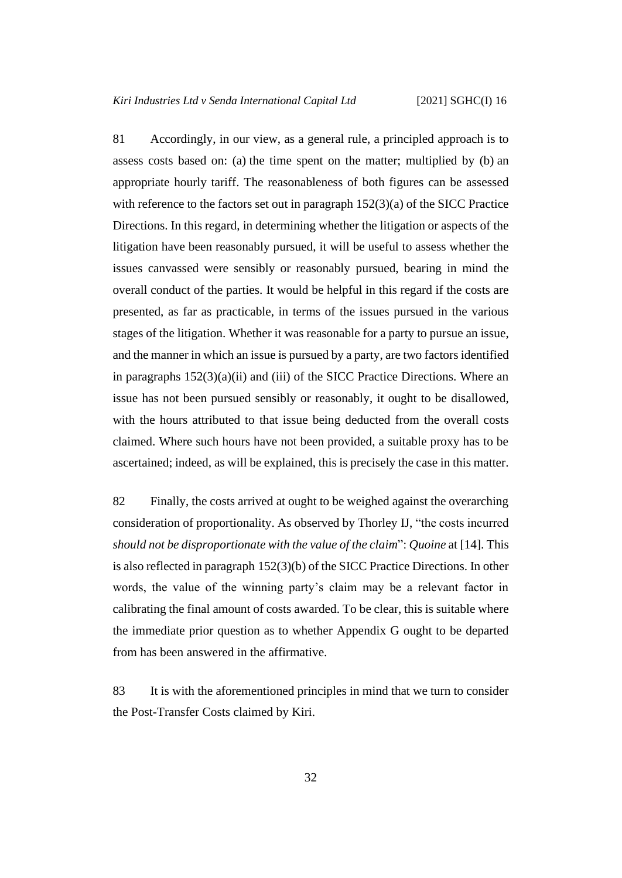<span id="page-35-0"></span>81 Accordingly, in our view, as a general rule, a principled approach is to assess costs based on: (a) the time spent on the matter; multiplied by (b) an appropriate hourly tariff. The reasonableness of both figures can be assessed with reference to the factors set out in paragraph 152(3)(a) of the SICC Practice Directions. In this regard, in determining whether the litigation or aspects of the litigation have been reasonably pursued, it will be useful to assess whether the issues canvassed were sensibly or reasonably pursued, bearing in mind the overall conduct of the parties. It would be helpful in this regard if the costs are presented, as far as practicable, in terms of the issues pursued in the various stages of the litigation. Whether it was reasonable for a party to pursue an issue, and the manner in which an issue is pursued by a party, are two factors identified in paragraphs 152(3)(a)(ii) and (iii) of the SICC Practice Directions. Where an issue has not been pursued sensibly or reasonably, it ought to be disallowed, with the hours attributed to that issue being deducted from the overall costs claimed. Where such hours have not been provided, a suitable proxy has to be ascertained; indeed, as will be explained, this is precisely the case in this matter.

<span id="page-35-1"></span>82 Finally, the costs arrived at ought to be weighed against the overarching consideration of proportionality. As observed by Thorley IJ, "the costs incurred *should not be disproportionate with the value of the claim*": *Quoine* at [14]. This is also reflected in paragraph 152(3)(b) of the SICC Practice Directions. In other words, the value of the winning party's claim may be a relevant factor in calibrating the final amount of costs awarded. To be clear, this is suitable where the immediate prior question as to whether Appendix G ought to be departed from has been answered in the affirmative.

83 It is with the aforementioned principles in mind that we turn to consider the Post-Transfer Costs claimed by Kiri.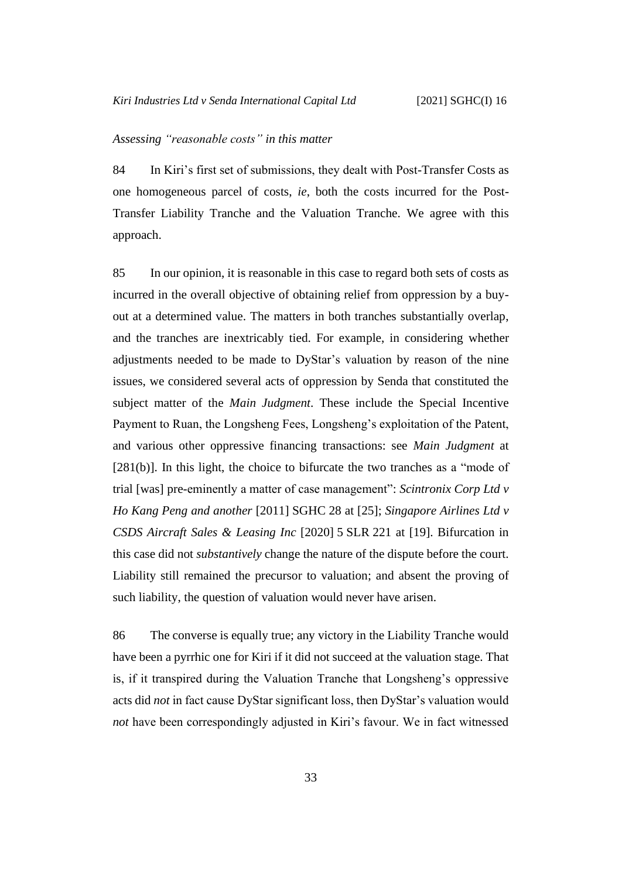#### <span id="page-36-0"></span>*Assessing "reasonable costs" in this matter*

84 In Kiri's first set of submissions, they dealt with Post-Transfer Costs as one homogeneous parcel of costs, *ie*, both the costs incurred for the Post-Transfer Liability Tranche and the Valuation Tranche. We agree with this approach.

85 In our opinion, it is reasonable in this case to regard both sets of costs as incurred in the overall objective of obtaining relief from oppression by a buyout at a determined value. The matters in both tranches substantially overlap, and the tranches are inextricably tied. For example, in considering whether adjustments needed to be made to DyStar's valuation by reason of the nine issues, we considered several acts of oppression by Senda that constituted the subject matter of the *Main Judgment*. These include the Special Incentive Payment to Ruan, the Longsheng Fees, Longsheng's exploitation of the Patent, and various other oppressive financing transactions: see *Main Judgment* at [281(b)]. In this light, the choice to bifurcate the two tranches as a "mode of trial [was] pre-eminently a matter of case management": *Scintronix Corp Ltd v Ho Kang Peng and another* [2011] SGHC 28 at [25]; *Singapore Airlines Ltd v CSDS Aircraft Sales & Leasing Inc* [2020] 5 SLR 221 at [19]. Bifurcation in this case did not *substantively* change the nature of the dispute before the court. Liability still remained the precursor to valuation; and absent the proving of such liability, the question of valuation would never have arisen.

86 The converse is equally true; any victory in the Liability Tranche would have been a pyrrhic one for Kiri if it did not succeed at the valuation stage. That is, if it transpired during the Valuation Tranche that Longsheng's oppressive acts did *not* in fact cause DyStar significant loss, then DyStar's valuation would *not* have been correspondingly adjusted in Kiri's favour. We in fact witnessed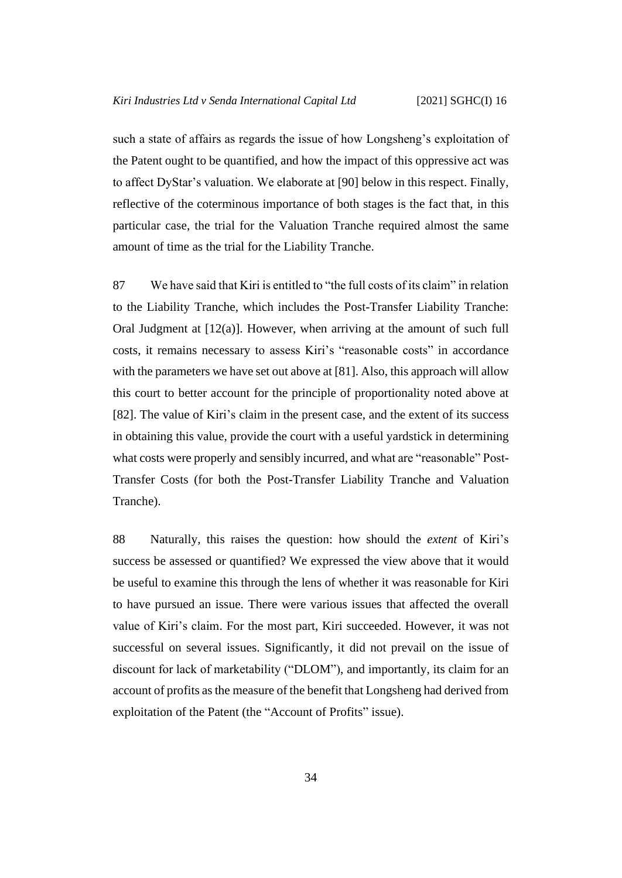such a state of affairs as regards the issue of how Longsheng's exploitation of the Patent ought to be quantified, and how the impact of this oppressive act was to affect DyStar's valuation. We elaborate at [\[90\]](#page-38-0) below in this respect. Finally, reflective of the coterminous importance of both stages is the fact that, in this particular case, the trial for the Valuation Tranche required almost the same amount of time as the trial for the Liability Tranche.

87 We have said that Kiri is entitled to "the full costs of its claim" in relation to the Liability Tranche, which includes the Post-Transfer Liability Tranche: Oral Judgment at [12(a)]. However, when arriving at the amount of such full costs, it remains necessary to assess Kiri's "reasonable costs" in accordance with the parameters we have set out above at [\[81\]](#page-35-0). Also, this approach will allow this court to better account for the principle of proportionality noted above at [\[82\]](#page-35-1). The value of Kiri's claim in the present case, and the extent of its success in obtaining this value, provide the court with a useful yardstick in determining what costs were properly and sensibly incurred, and what are "reasonable" Post-Transfer Costs (for both the Post-Transfer Liability Tranche and Valuation Tranche).

88 Naturally, this raises the question: how should the *extent* of Kiri's success be assessed or quantified? We expressed the view above that it would be useful to examine this through the lens of whether it was reasonable for Kiri to have pursued an issue. There were various issues that affected the overall value of Kiri's claim. For the most part, Kiri succeeded. However, it was not successful on several issues. Significantly, it did not prevail on the issue of discount for lack of marketability ("DLOM"), and importantly, its claim for an account of profits as the measure of the benefit that Longsheng had derived from exploitation of the Patent (the "Account of Profits" issue).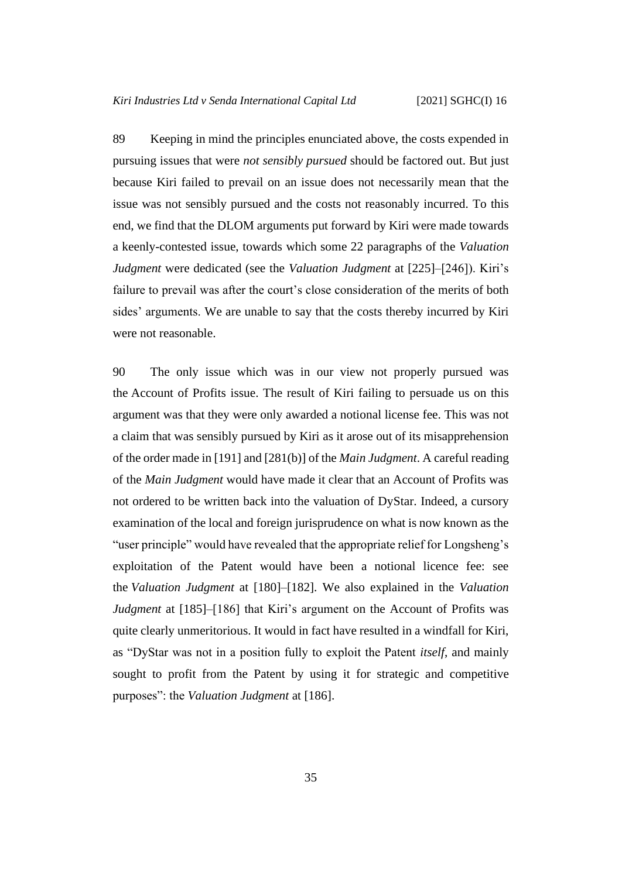89 Keeping in mind the principles enunciated above, the costs expended in pursuing issues that were *not sensibly pursued* should be factored out. But just because Kiri failed to prevail on an issue does not necessarily mean that the issue was not sensibly pursued and the costs not reasonably incurred. To this end, we find that the DLOM arguments put forward by Kiri were made towards a keenly-contested issue, towards which some 22 paragraphs of the *Valuation Judgment* were dedicated (see the *Valuation Judgment* at [225]–[246]). Kiri's failure to prevail was after the court's close consideration of the merits of both sides' arguments. We are unable to say that the costs thereby incurred by Kiri were not reasonable.

<span id="page-38-0"></span>90 The only issue which was in our view not properly pursued was the Account of Profits issue. The result of Kiri failing to persuade us on this argument was that they were only awarded a notional license fee. This was not a claim that was sensibly pursued by Kiri as it arose out of its misapprehension of the order made in [191] and [281(b)] of the *Main Judgment*. A careful reading of the *Main Judgment* would have made it clear that an Account of Profits was not ordered to be written back into the valuation of DyStar. Indeed, a cursory examination of the local and foreign jurisprudence on what is now known as the "user principle" would have revealed that the appropriate relief for Longsheng's exploitation of the Patent would have been a notional licence fee: see the *Valuation Judgment* at [180]–[182]. We also explained in the *Valuation Judgment* at [185]–[186] that Kiri's argument on the Account of Profits was quite clearly unmeritorious. It would in fact have resulted in a windfall for Kiri, as "DyStar was not in a position fully to exploit the Patent *itself*, and mainly sought to profit from the Patent by using it for strategic and competitive purposes": the *Valuation Judgment* at [186].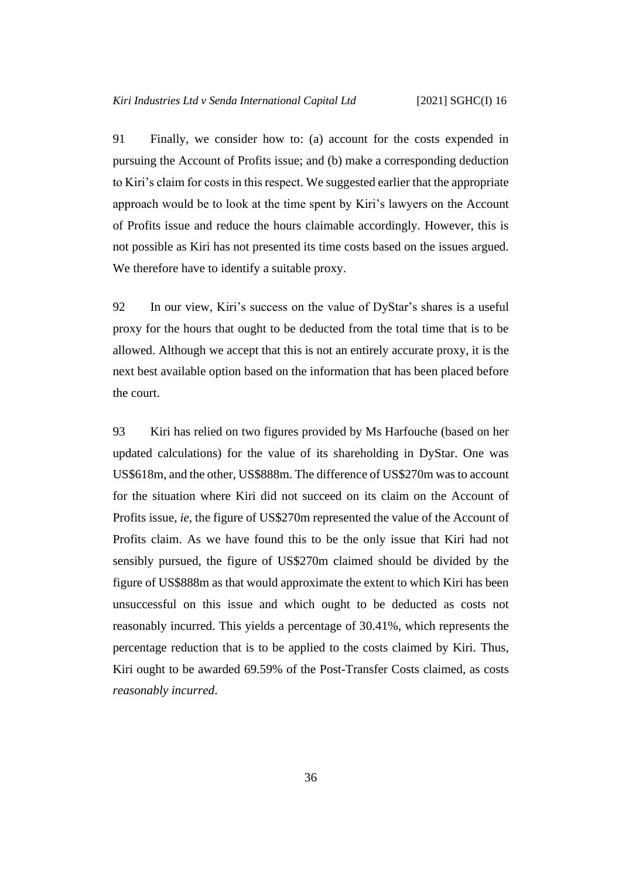91 Finally, we consider how to: (a) account for the costs expended in pursuing the Account of Profits issue; and (b) make a corresponding deduction to Kiri's claim for costs in this respect. We suggested earlier that the appropriate approach would be to look at the time spent by Kiri's lawyers on the Account of Profits issue and reduce the hours claimable accordingly. However, this is not possible as Kiri has not presented its time costs based on the issues argued. We therefore have to identify a suitable proxy.

92 In our view, Kiri's success on the value of DyStar's shares is a useful proxy for the hours that ought to be deducted from the total time that is to be allowed. Although we accept that this is not an entirely accurate proxy, it is the next best available option based on the information that has been placed before the court.

93 Kiri has relied on two figures provided by Ms Harfouche (based on her updated calculations) for the value of its shareholding in DyStar. One was US\$618m, and the other, US\$888m. The difference of US\$270m was to account for the situation where Kiri did not succeed on its claim on the Account of Profits issue, *ie*, the figure of US\$270m represented the value of the Account of Profits claim. As we have found this to be the only issue that Kiri had not sensibly pursued, the figure of US\$270m claimed should be divided by the figure of US\$888m as that would approximate the extent to which Kiri has been unsuccessful on this issue and which ought to be deducted as costs not reasonably incurred. This yields a percentage of 30.41%, which represents the percentage reduction that is to be applied to the costs claimed by Kiri. Thus, Kiri ought to be awarded 69.59% of the Post-Transfer Costs claimed, as costs *reasonably incurred*.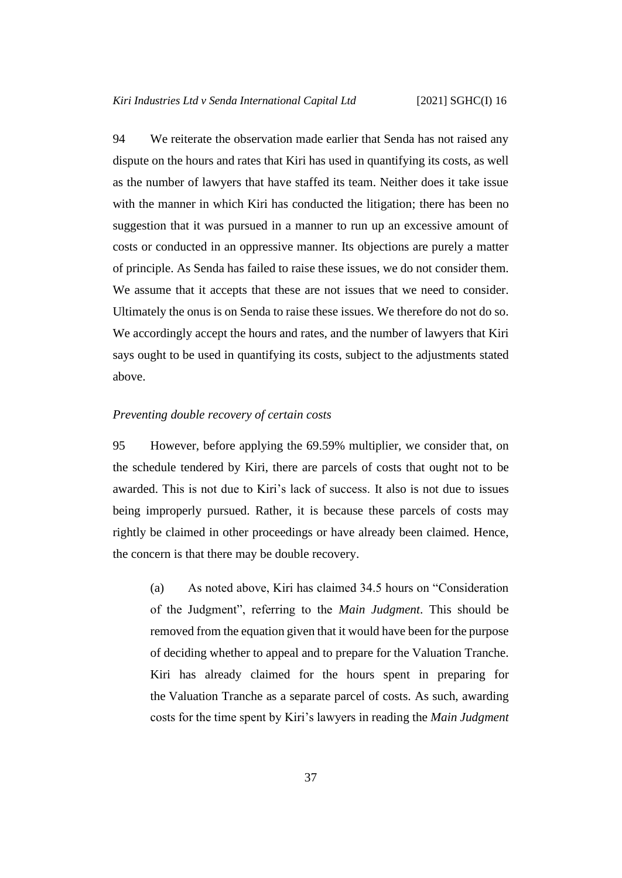<span id="page-40-1"></span>94 We reiterate the observation made earlier that Senda has not raised any dispute on the hours and rates that Kiri has used in quantifying its costs, as well as the number of lawyers that have staffed its team. Neither does it take issue with the manner in which Kiri has conducted the litigation; there has been no suggestion that it was pursued in a manner to run up an excessive amount of costs or conducted in an oppressive manner. Its objections are purely a matter of principle. As Senda has failed to raise these issues, we do not consider them. We assume that it accepts that these are not issues that we need to consider. Ultimately the onus is on Senda to raise these issues. We therefore do not do so. We accordingly accept the hours and rates, and the number of lawyers that Kiri says ought to be used in quantifying its costs, subject to the adjustments stated above.

#### <span id="page-40-0"></span>*Preventing double recovery of certain costs*

95 However, before applying the 69.59% multiplier, we consider that, on the schedule tendered by Kiri, there are parcels of costs that ought not to be awarded. This is not due to Kiri's lack of success. It also is not due to issues being improperly pursued. Rather, it is because these parcels of costs may rightly be claimed in other proceedings or have already been claimed. Hence, the concern is that there may be double recovery.

(a) As noted above, Kiri has claimed 34.5 hours on "Consideration of the Judgment", referring to the *Main Judgment*. This should be removed from the equation given that it would have been for the purpose of deciding whether to appeal and to prepare for the Valuation Tranche. Kiri has already claimed for the hours spent in preparing for the Valuation Tranche as a separate parcel of costs. As such, awarding costs for the time spent by Kiri's lawyers in reading the *Main Judgment*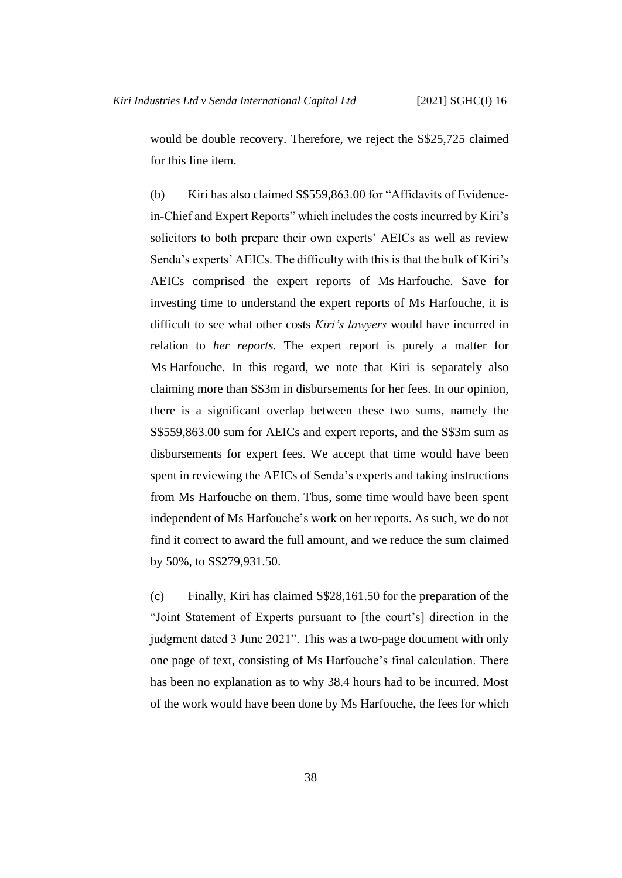would be double recovery. Therefore, we reject the S\$25,725 claimed for this line item.

(b) Kiri has also claimed S\$559,863.00 for "Affidavits of Evidencein-Chief and Expert Reports" which includes the costs incurred by Kiri's solicitors to both prepare their own experts' AEICs as well as review Senda's experts' AEICs. The difficulty with this is that the bulk of Kiri's AEICs comprised the expert reports of Ms Harfouche. Save for investing time to understand the expert reports of Ms Harfouche, it is difficult to see what other costs *Kiri's lawyers* would have incurred in relation to *her reports.* The expert report is purely a matter for Ms Harfouche. In this regard, we note that Kiri is separately also claiming more than S\$3m in disbursements for her fees. In our opinion, there is a significant overlap between these two sums, namely the S\$559,863.00 sum for AEICs and expert reports, and the S\$3m sum as disbursements for expert fees. We accept that time would have been spent in reviewing the AEICs of Senda's experts and taking instructions from Ms Harfouche on them. Thus, some time would have been spent independent of Ms Harfouche's work on her reports. As such, we do not find it correct to award the full amount, and we reduce the sum claimed by 50%, to S\$279,931.50.

(c) Finally, Kiri has claimed S\$28,161.50 for the preparation of the "Joint Statement of Experts pursuant to [the court's] direction in the judgment dated 3 June 2021". This was a two-page document with only one page of text, consisting of Ms Harfouche's final calculation. There has been no explanation as to why 38.4 hours had to be incurred. Most of the work would have been done by Ms Harfouche, the fees for which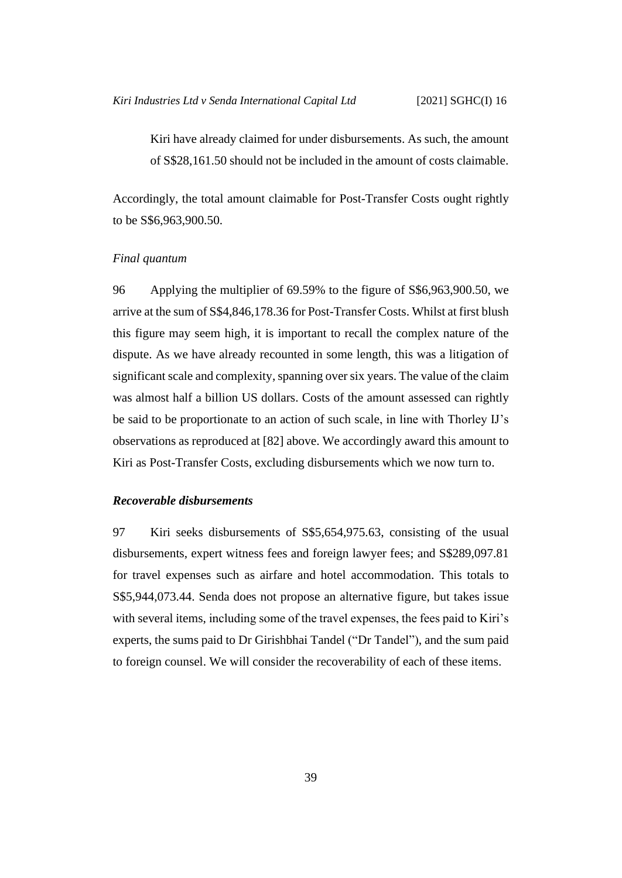Kiri have already claimed for under disbursements. As such, the amount of S\$28,161.50 should not be included in the amount of costs claimable.

Accordingly, the total amount claimable for Post-Transfer Costs ought rightly to be S\$6,963,900.50.

### <span id="page-42-0"></span>*Final quantum*

96 Applying the multiplier of 69.59% to the figure of S\$6,963,900.50, we arrive at the sum of S\$4,846,178.36 for Post-Transfer Costs. Whilst at first blush this figure may seem high, it is important to recall the complex nature of the dispute. As we have already recounted in some length, this was a litigation of significant scale and complexity, spanning over six years. The value of the claim was almost half a billion US dollars. Costs of the amount assessed can rightly be said to be proportionate to an action of such scale, in line with Thorley IJ's observations as reproduced at [\[82\]](#page-35-1) above. We accordingly award this amount to Kiri as Post-Transfer Costs, excluding disbursements which we now turn to.

#### <span id="page-42-1"></span>*Recoverable disbursements*

97 Kiri seeks disbursements of S\$5,654,975.63, consisting of the usual disbursements, expert witness fees and foreign lawyer fees; and S\$289,097.81 for travel expenses such as airfare and hotel accommodation. This totals to S\$5,944,073.44. Senda does not propose an alternative figure, but takes issue with several items, including some of the travel expenses, the fees paid to Kiri's experts, the sums paid to Dr Girishbhai Tandel ("Dr Tandel"), and the sum paid to foreign counsel. We will consider the recoverability of each of these items.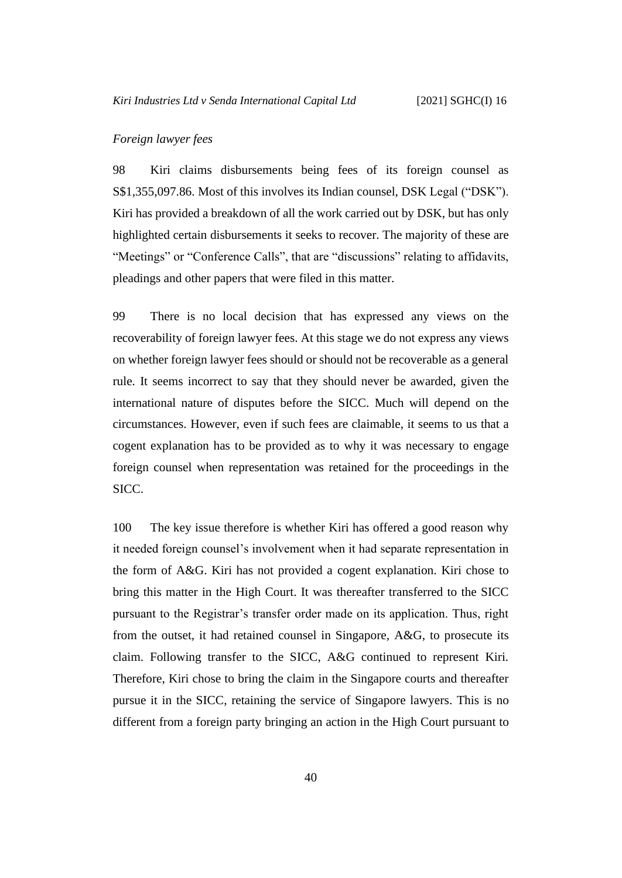#### <span id="page-43-0"></span>*Foreign lawyer fees*

98 Kiri claims disbursements being fees of its foreign counsel as S\$1,355,097.86. Most of this involves its Indian counsel, DSK Legal ("DSK"). Kiri has provided a breakdown of all the work carried out by DSK, but has only highlighted certain disbursements it seeks to recover. The majority of these are "Meetings" or "Conference Calls", that are "discussions" relating to affidavits, pleadings and other papers that were filed in this matter.

<span id="page-43-1"></span>99 There is no local decision that has expressed any views on the recoverability of foreign lawyer fees. At this stage we do not express any views on whether foreign lawyer fees should or should not be recoverable as a general rule. It seems incorrect to say that they should never be awarded, given the international nature of disputes before the SICC. Much will depend on the circumstances. However, even if such fees are claimable, it seems to us that a cogent explanation has to be provided as to why it was necessary to engage foreign counsel when representation was retained for the proceedings in the SICC.

100 The key issue therefore is whether Kiri has offered a good reason why it needed foreign counsel's involvement when it had separate representation in the form of A&G. Kiri has not provided a cogent explanation. Kiri chose to bring this matter in the High Court. It was thereafter transferred to the SICC pursuant to the Registrar's transfer order made on its application. Thus, right from the outset, it had retained counsel in Singapore, A&G, to prosecute its claim. Following transfer to the SICC, A&G continued to represent Kiri. Therefore, Kiri chose to bring the claim in the Singapore courts and thereafter pursue it in the SICC, retaining the service of Singapore lawyers. This is no different from a foreign party bringing an action in the High Court pursuant to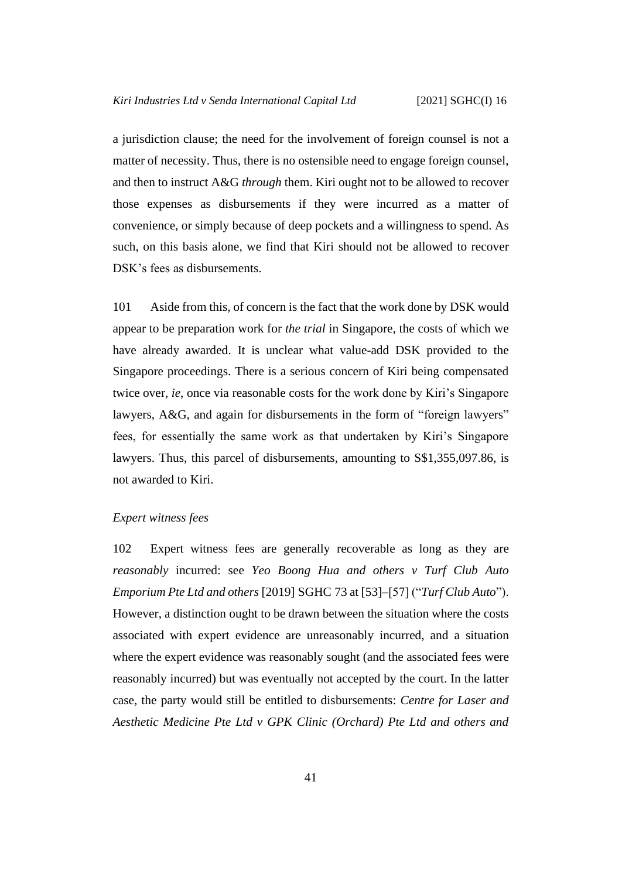a jurisdiction clause; the need for the involvement of foreign counsel is not a matter of necessity. Thus, there is no ostensible need to engage foreign counsel, and then to instruct A&G *through* them. Kiri ought not to be allowed to recover those expenses as disbursements if they were incurred as a matter of convenience, or simply because of deep pockets and a willingness to spend. As such, on this basis alone, we find that Kiri should not be allowed to recover DSK's fees as disbursements.

101 Aside from this, of concern is the fact that the work done by DSK would appear to be preparation work for *the trial* in Singapore, the costs of which we have already awarded. It is unclear what value-add DSK provided to the Singapore proceedings. There is a serious concern of Kiri being compensated twice over, *ie*, once via reasonable costs for the work done by Kiri's Singapore lawyers, A&G, and again for disbursements in the form of "foreign lawyers" fees, for essentially the same work as that undertaken by Kiri's Singapore lawyers. Thus, this parcel of disbursements, amounting to S\$1,355,097.86, is not awarded to Kiri.

## <span id="page-44-0"></span>*Expert witness fees*

102 Expert witness fees are generally recoverable as long as they are *reasonably* incurred: see *Yeo Boong Hua and others v Turf Club Auto Emporium Pte Ltd and others* [2019] SGHC 73 at [53]–[57] ("*Turf Club Auto*"). However, a distinction ought to be drawn between the situation where the costs associated with expert evidence are unreasonably incurred, and a situation where the expert evidence was reasonably sought (and the associated fees were reasonably incurred) but was eventually not accepted by the court. In the latter case, the party would still be entitled to disbursements: *Centre for Laser and Aesthetic Medicine Pte Ltd v GPK Clinic (Orchard) Pte Ltd and others and*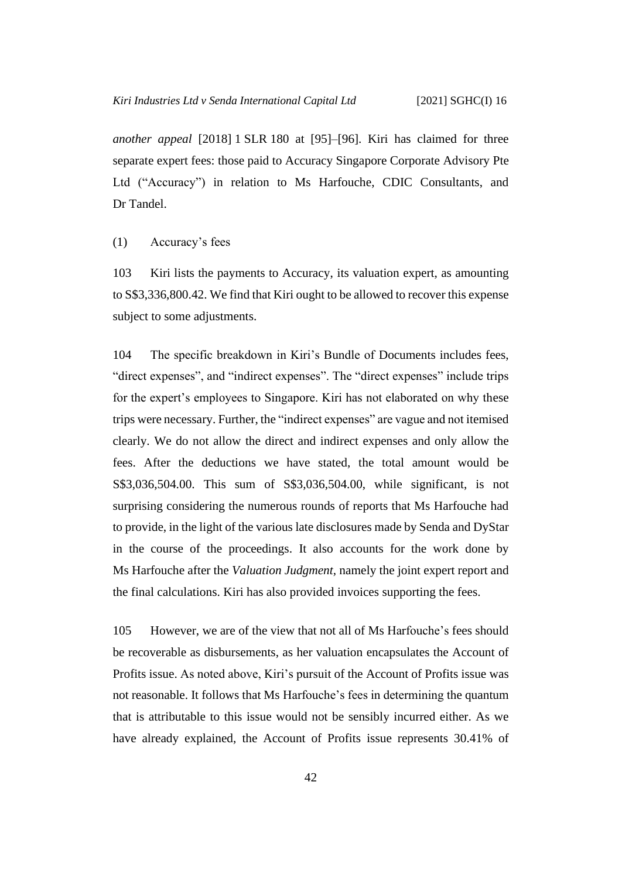*another appeal* [2018] 1 SLR 180 at [95]–[96]. Kiri has claimed for three separate expert fees: those paid to Accuracy Singapore Corporate Advisory Pte Ltd ("Accuracy") in relation to Ms Harfouche, CDIC Consultants, and Dr Tandel.

<span id="page-45-0"></span>(1) Accuracy's fees

103 Kiri lists the payments to Accuracy, its valuation expert, as amounting to S\$3,336,800.42. We find that Kiri ought to be allowed to recover this expense subject to some adjustments.

104 The specific breakdown in Kiri's Bundle of Documents includes fees, "direct expenses", and "indirect expenses". The "direct expenses" include trips for the expert's employees to Singapore. Kiri has not elaborated on why these trips were necessary. Further, the "indirect expenses" are vague and not itemised clearly. We do not allow the direct and indirect expenses and only allow the fees. After the deductions we have stated, the total amount would be S\$3,036,504.00. This sum of S\$3,036,504.00, while significant, is not surprising considering the numerous rounds of reports that Ms Harfouche had to provide, in the light of the various late disclosures made by Senda and DyStar in the course of the proceedings. It also accounts for the work done by Ms Harfouche after the *Valuation Judgment*, namely the joint expert report and the final calculations. Kiri has also provided invoices supporting the fees.

105 However, we are of the view that not all of Ms Harfouche's fees should be recoverable as disbursements, as her valuation encapsulates the Account of Profits issue. As noted above, Kiri's pursuit of the Account of Profits issue was not reasonable. It follows that Ms Harfouche's fees in determining the quantum that is attributable to this issue would not be sensibly incurred either. As we have already explained, the Account of Profits issue represents 30.41% of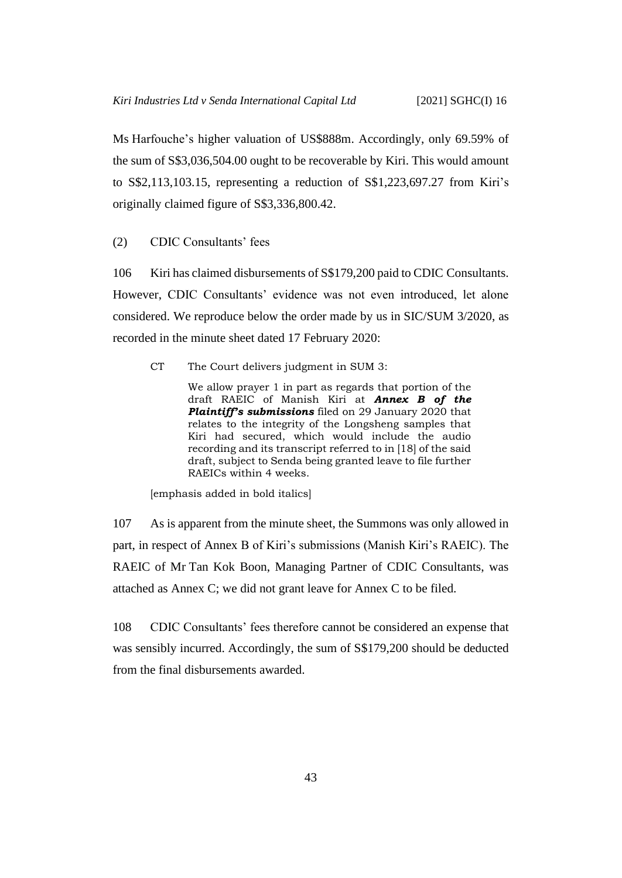Ms Harfouche's higher valuation of US\$888m. Accordingly, only 69.59% of the sum of S\$3,036,504.00 ought to be recoverable by Kiri. This would amount to S\$2,113,103.15, representing a reduction of S\$1,223,697.27 from Kiri's originally claimed figure of S\$3,336,800.42.

<span id="page-46-0"></span>(2) CDIC Consultants' fees

106 Kiri has claimed disbursements of S\$179,200 paid to CDIC Consultants. However, CDIC Consultants' evidence was not even introduced, let alone considered. We reproduce below the order made by us in SIC/SUM 3/2020, as recorded in the minute sheet dated 17 February 2020:

CT The Court delivers judgment in SUM 3:

We allow prayer 1 in part as regards that portion of the draft RAEIC of Manish Kiri at *Annex B of the Plaintiff's submissions* filed on 29 January 2020 that relates to the integrity of the Longsheng samples that Kiri had secured, which would include the audio recording and its transcript referred to in [18] of the said draft, subject to Senda being granted leave to file further RAEICs within 4 weeks.

[emphasis added in bold italics]

107 As is apparent from the minute sheet, the Summons was only allowed in part, in respect of Annex B of Kiri's submissions (Manish Kiri's RAEIC). The RAEIC of Mr Tan Kok Boon, Managing Partner of CDIC Consultants, was attached as Annex C; we did not grant leave for Annex C to be filed.

108 CDIC Consultants' fees therefore cannot be considered an expense that was sensibly incurred. Accordingly, the sum of S\$179,200 should be deducted from the final disbursements awarded.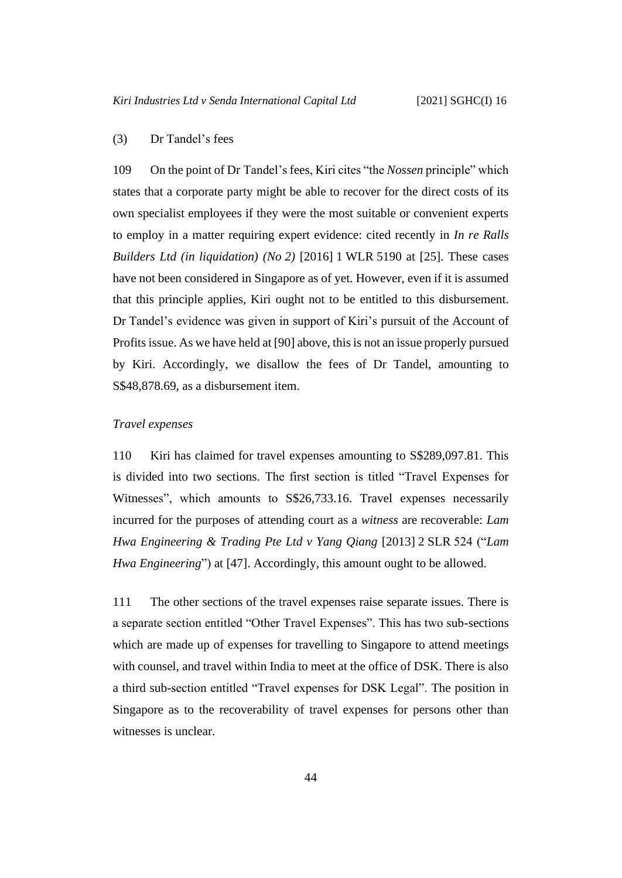### <span id="page-47-0"></span>(3) Dr Tandel's fees

109 On the point of Dr Tandel's fees, Kiri cites "the *Nossen* principle" which states that a corporate party might be able to recover for the direct costs of its own specialist employees if they were the most suitable or convenient experts to employ in a matter requiring expert evidence: cited recently in *In re Ralls Builders Ltd (in liquidation) (No 2)* [2016] 1 WLR 5190 at [25]. These cases have not been considered in Singapore as of yet. However, even if it is assumed that this principle applies, Kiri ought not to be entitled to this disbursement. Dr Tandel's evidence was given in support of Kiri's pursuit of the Account of Profitsissue. As we have held at [\[90\]](#page-38-0) above, this is not an issue properly pursued by Kiri. Accordingly, we disallow the fees of Dr Tandel, amounting to S\$48,878.69, as a disbursement item.

#### <span id="page-47-1"></span>*Travel expenses*

110 Kiri has claimed for travel expenses amounting to S\$289,097.81. This is divided into two sections. The first section is titled "Travel Expenses for Witnesses", which amounts to S\$26,733.16. Travel expenses necessarily incurred for the purposes of attending court as a *witness* are recoverable: *Lam Hwa Engineering & Trading Pte Ltd v Yang Qiang* [2013] 2 SLR 524 ("*Lam Hwa Engineering*") at [47]. Accordingly, this amount ought to be allowed.

111 The other sections of the travel expenses raise separate issues. There is a separate section entitled "Other Travel Expenses". This has two sub-sections which are made up of expenses for travelling to Singapore to attend meetings with counsel, and travel within India to meet at the office of DSK. There is also a third sub-section entitled "Travel expenses for DSK Legal". The position in Singapore as to the recoverability of travel expenses for persons other than witnesses is unclear.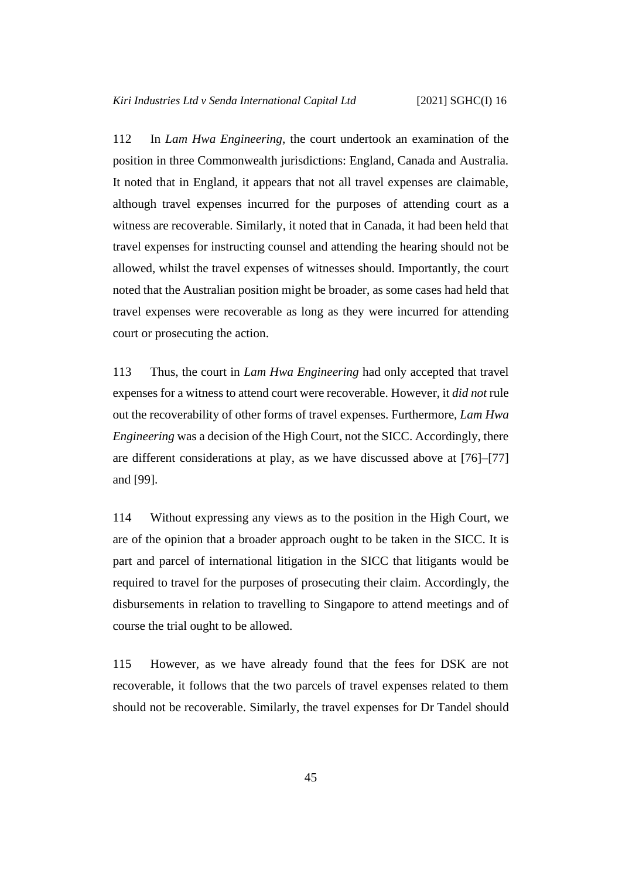112 In *Lam Hwa Engineering*, the court undertook an examination of the position in three Commonwealth jurisdictions: England, Canada and Australia. It noted that in England, it appears that not all travel expenses are claimable, although travel expenses incurred for the purposes of attending court as a witness are recoverable. Similarly, it noted that in Canada, it had been held that travel expenses for instructing counsel and attending the hearing should not be allowed, whilst the travel expenses of witnesses should. Importantly, the court noted that the Australian position might be broader, as some cases had held that travel expenses were recoverable as long as they were incurred for attending court or prosecuting the action.

113 Thus, the court in *Lam Hwa Engineering* had only accepted that travel expenses for a witness to attend court were recoverable. However, it *did not* rule out the recoverability of other forms of travel expenses. Furthermore, *Lam Hwa Engineering* was a decision of the High Court, not the SICC. Accordingly, there are different considerations at play, as we have discussed above at [\[76\]](#page-32-1)–[\[77\]](#page-33-0) and [\[99\]](#page-43-1).

114 Without expressing any views as to the position in the High Court, we are of the opinion that a broader approach ought to be taken in the SICC. It is part and parcel of international litigation in the SICC that litigants would be required to travel for the purposes of prosecuting their claim. Accordingly, the disbursements in relation to travelling to Singapore to attend meetings and of course the trial ought to be allowed.

115 However, as we have already found that the fees for DSK are not recoverable, it follows that the two parcels of travel expenses related to them should not be recoverable. Similarly, the travel expenses for Dr Tandel should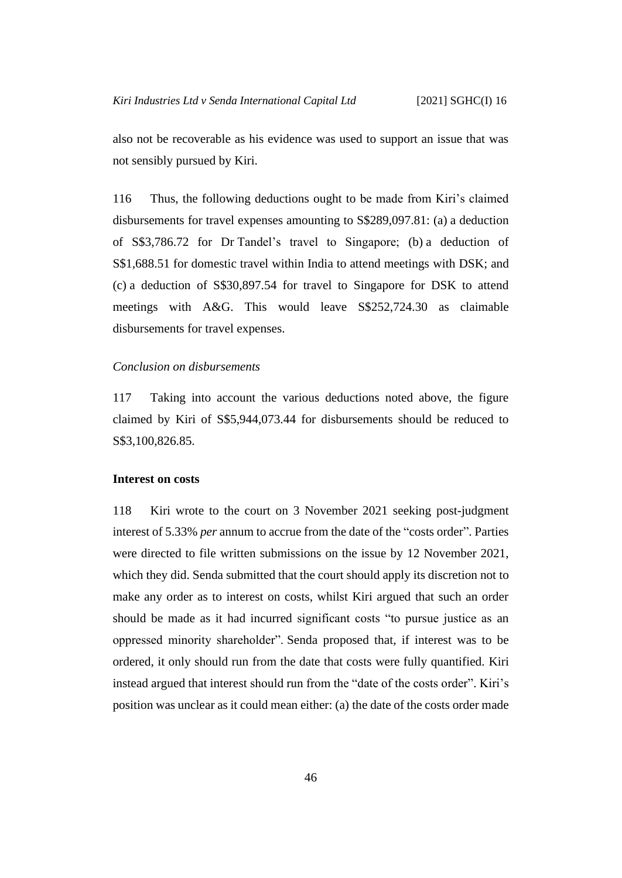also not be recoverable as his evidence was used to support an issue that was not sensibly pursued by Kiri.

116 Thus, the following deductions ought to be made from Kiri's claimed disbursements for travel expenses amounting to S\$289,097.81: (a) a deduction of S\$3,786.72 for Dr Tandel's travel to Singapore; (b) a deduction of S\$1,688.51 for domestic travel within India to attend meetings with DSK; and (c) a deduction of S\$30,897.54 for travel to Singapore for DSK to attend meetings with A&G. This would leave S\$252,724.30 as claimable disbursements for travel expenses.

#### <span id="page-49-0"></span>*Conclusion on disbursements*

117 Taking into account the various deductions noted above, the figure claimed by Kiri of S\$5,944,073.44 for disbursements should be reduced to S\$3,100,826.85.

#### <span id="page-49-1"></span>**Interest on costs**

118 Kiri wrote to the court on 3 November 2021 seeking post-judgment interest of 5.33% *per* annum to accrue from the date of the "costs order". Parties were directed to file written submissions on the issue by 12 November 2021, which they did. Senda submitted that the court should apply its discretion not to make any order as to interest on costs, whilst Kiri argued that such an order should be made as it had incurred significant costs "to pursue justice as an oppressed minority shareholder". Senda proposed that, if interest was to be ordered, it only should run from the date that costs were fully quantified. Kiri instead argued that interest should run from the "date of the costs order". Kiri's position was unclear as it could mean either: (a) the date of the costs order made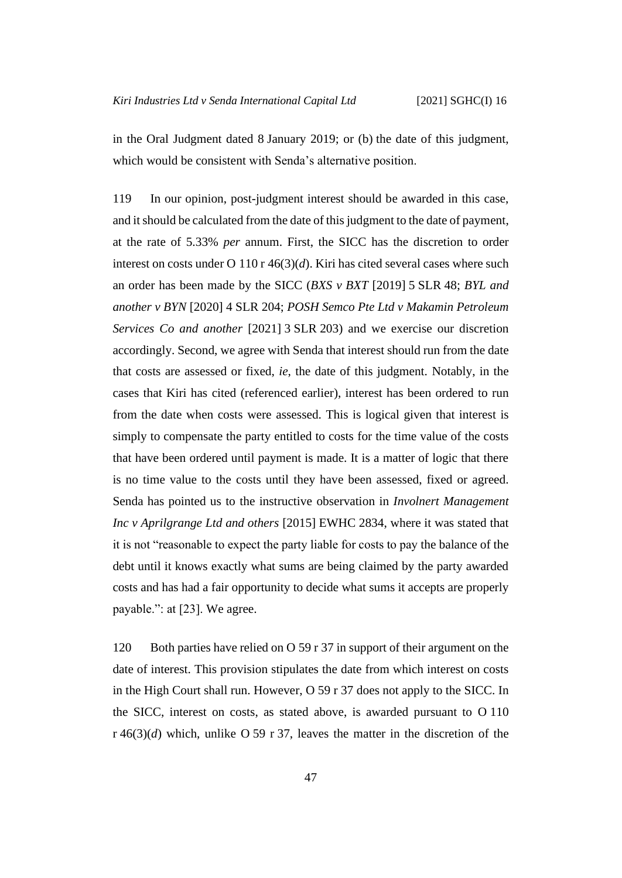in the Oral Judgment dated 8 January 2019; or (b) the date of this judgment, which would be consistent with Senda's alternative position.

119 In our opinion, post-judgment interest should be awarded in this case, and it should be calculated from the date of this judgment to the date of payment, at the rate of 5.33% *per* annum. First, the SICC has the discretion to order interest on costs under O 110 r  $46(3)(d)$ . Kiri has cited several cases where such an order has been made by the SICC (*BXS v BXT* [2019] 5 SLR 48; *BYL and another v BYN* [2020] 4 SLR 204; *POSH Semco Pte Ltd v Makamin Petroleum Services Co and another* [2021] 3 SLR 203) and we exercise our discretion accordingly. Second, we agree with Senda that interest should run from the date that costs are assessed or fixed, *ie*, the date of this judgment. Notably, in the cases that Kiri has cited (referenced earlier), interest has been ordered to run from the date when costs were assessed. This is logical given that interest is simply to compensate the party entitled to costs for the time value of the costs that have been ordered until payment is made. It is a matter of logic that there is no time value to the costs until they have been assessed, fixed or agreed. Senda has pointed us to the instructive observation in *Involnert Management Inc v Aprilgrange Ltd and others* [2015] EWHC 2834, where it was stated that it is not "reasonable to expect the party liable for costs to pay the balance of the debt until it knows exactly what sums are being claimed by the party awarded costs and has had a fair opportunity to decide what sums it accepts are properly payable.": at [23]. We agree.

120 Both parties have relied on O 59 r 37 in support of their argument on the date of interest. This provision stipulates the date from which interest on costs in the High Court shall run. However, O 59 r 37 does not apply to the SICC. In the SICC, interest on costs, as stated above, is awarded pursuant to O 110 r 46(3)(*d*) which, unlike O 59 r 37, leaves the matter in the discretion of the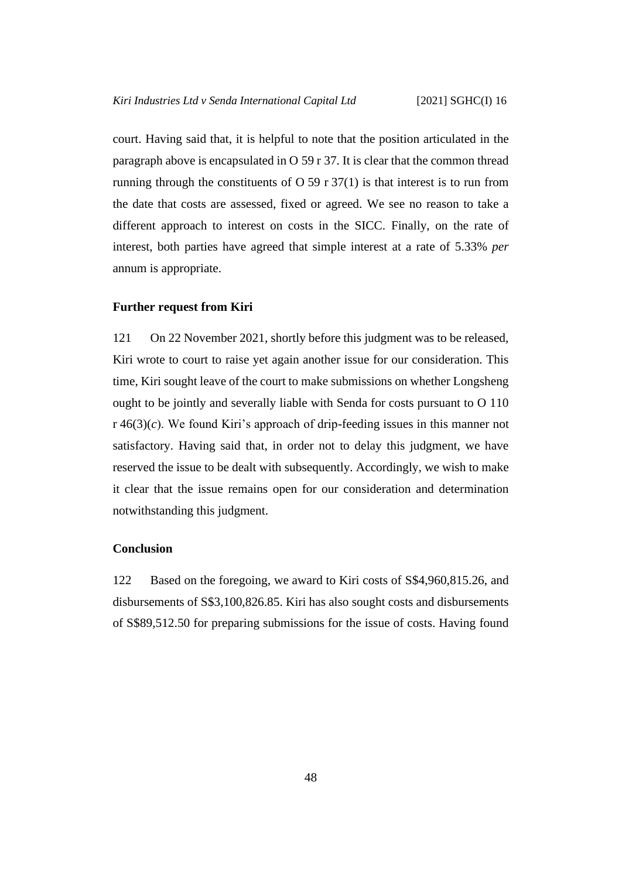court. Having said that, it is helpful to note that the position articulated in the paragraph above is encapsulated in O 59 r 37. It is clear that the common thread running through the constituents of  $O$  59 r 37(1) is that interest is to run from the date that costs are assessed, fixed or agreed. We see no reason to take a different approach to interest on costs in the SICC. Finally, on the rate of interest, both parties have agreed that simple interest at a rate of 5.33% *per* annum is appropriate.

#### <span id="page-51-0"></span>**Further request from Kiri**

121 On 22 November 2021, shortly before this judgment was to be released, Kiri wrote to court to raise yet again another issue for our consideration. This time, Kiri sought leave of the court to make submissions on whether Longsheng ought to be jointly and severally liable with Senda for costs pursuant to O 110 r 46(3)(*c*). We found Kiri's approach of drip-feeding issues in this manner not satisfactory. Having said that, in order not to delay this judgment, we have reserved the issue to be dealt with subsequently. Accordingly, we wish to make it clear that the issue remains open for our consideration and determination notwithstanding this judgment.

#### <span id="page-51-1"></span>**Conclusion**

122 Based on the foregoing, we award to Kiri costs of S\$4,960,815.26, and disbursements of S\$3,100,826.85. Kiri has also sought costs and disbursements of S\$89,512.50 for preparing submissions for the issue of costs. Having found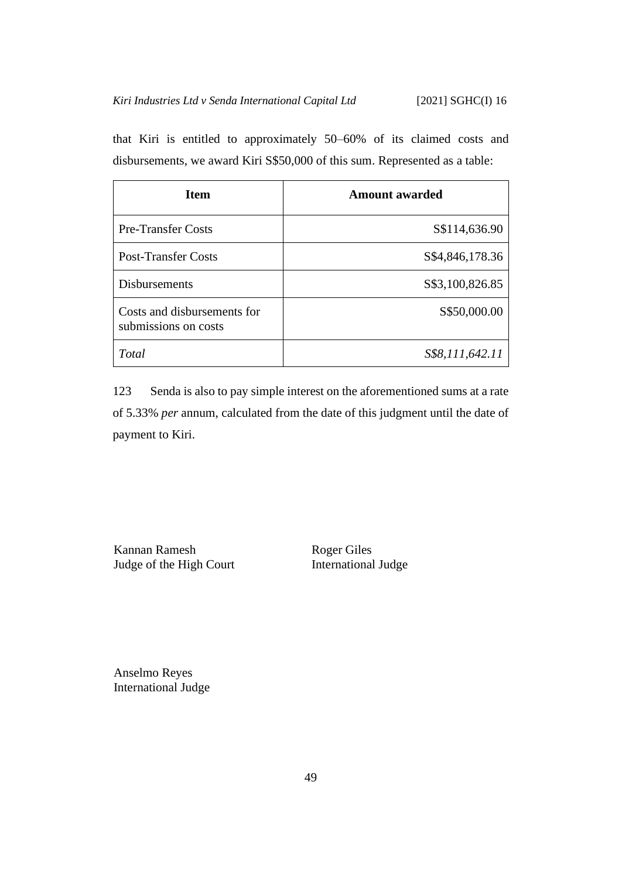that Kiri is entitled to approximately 50–60% of its claimed costs and disbursements, we award Kiri S\$50,000 of this sum. Represented as a table:

| <b>Item</b>                                         | Amount awarded   |
|-----------------------------------------------------|------------------|
| <b>Pre-Transfer Costs</b>                           | S\$114,636.90    |
| <b>Post-Transfer Costs</b>                          | S\$4,846,178.36  |
| <b>Disbursements</b>                                | \$\$3,100,826.85 |
| Costs and disbursements for<br>submissions on costs | \$\$50,000.00    |
| Total                                               | S\$8,111,642.11  |

123 Senda is also to pay simple interest on the aforementioned sums at a rate of 5.33% *per* annum, calculated from the date of this judgment until the date of payment to Kiri.

Kannan Ramesh Judge of the High Court Roger Giles International Judge

Anselmo Reyes International Judge